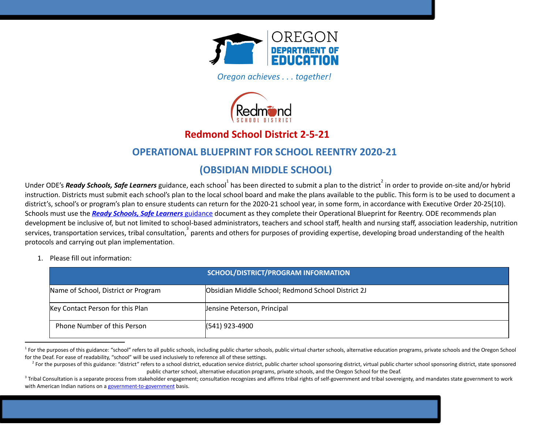

*Oregon achieves . . . together!* 



# **Redmond School District 2-5-21**

# **OPERATIONAL BLUEPRINT FOR SCHOOL REENTRY 2020-21**

# **(OBSIDIAN MIDDLE SCHOOL)**

Under ODE's **Ready Schools, Safe Learners** guidance, each school $^1$  has been directed to submit a plan to the district  $^2$  in order to provide on-site and/or hybrid instruction. Districts must submit each school's plan to the local school board and make the plans available to the public. This form is to be used to document a district's, school's or program's plan to ensure students can return for the 2020-21 school year, in some form, in accordance with Executive Order 20-25(10). Schools must use the *Ready Schools, Safe [Learners](https://www.oregon.gov/ode/students-and-family/healthsafety/Documents/Ready%20Schools%20Safe%20Learners%202020-21%20Guidance.pdf)* [guidance](https://www.oregon.gov/ode/students-and-family/healthsafety/Documents/Ready%20Schools%20Safe%20Learners%202020-21%20Guidance.pdf) document as they complete their Operational Blueprint for Reentry. ODE recommends plan development be inclusive of, but not limited to school-based administrators, teachers and school staff, health and nursing staff, association leadership, nutrition services, transportation services, tribal consultation,  $3$  parents and others for purposes of providing expertise, developing broad understanding of the health protocols and carrying out plan implementation.

1. Please fill out information:

|                                     | SCHOOL/DISTRICT/PROGRAM INFORMATION                |
|-------------------------------------|----------------------------------------------------|
| Name of School, District or Program | Obsidian Middle School; Redmond School District 2J |
| Key Contact Person for this Plan    | Jensine Peterson, Principal                        |
| <b>Phone Number of this Person</b>  | $(541)$ 923-4900                                   |

<sup>&</sup>lt;sup>1</sup> For the purposes of this guidance: "school" refers to all public schools, including public charter schools, public virtual charter schools, alternative education programs, private schools and the Oregon School for the Deaf. For ease of readability, "school" will be used inclusively to reference all of these settings.

<sup>&</sup>lt;sup>2</sup> For the purposes of this guidance: "district" refers to a school district, education service district, public charter school sponsoring district refers to a school district, education service district, public charter s public charter school, alternative education programs, private schools, and the Oregon School for the Deaf.

<sup>&</sup>lt;sup>3</sup> Tribal Consultation is a separate process from stakeholder engagement; consultation recognizes and affirms tribal rights of self-government and tribal sovereignty, and mandates state government to work with American Indian nations on a [government-to-government](http://www.nrc4tribes.org/files/Tab%209_9H%20Oregon%20SB770.pdf) basis.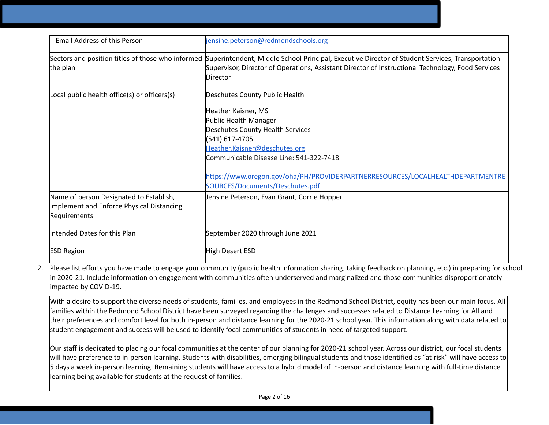| <b>Email Address of this Person</b>          | jensine.peterson@redmondschools.org                                                                                                               |
|----------------------------------------------|---------------------------------------------------------------------------------------------------------------------------------------------------|
|                                              |                                                                                                                                                   |
|                                              | Sectors and position titles of those who informed Superintendent, Middle School Principal, Executive Director of Student Services, Transportation |
| the plan                                     | Supervisor, Director of Operations, Assistant Director of Instructional Technology, Food Services                                                 |
|                                              | Director                                                                                                                                          |
| Local public health office(s) or officers(s) | Deschutes County Public Health                                                                                                                    |
|                                              |                                                                                                                                                   |
|                                              | Heather Kaisner, MS                                                                                                                               |
|                                              | Public Health Manager                                                                                                                             |
|                                              | Deschutes County Health Services                                                                                                                  |
|                                              | (541) 617-4705                                                                                                                                    |
|                                              | Heather.Kaisner@deschutes.org                                                                                                                     |
|                                              | Communicable Disease Line: 541-322-7418                                                                                                           |
|                                              |                                                                                                                                                   |
|                                              | https://www.oregon.gov/oha/PH/PROVIDERPARTNERRESOURCES/LOCALHEALTHDEPARTMENTRE                                                                    |
|                                              | SOURCES/Documents/Deschutes.pdf                                                                                                                   |
| Name of person Designated to Establish,      | Jensine Peterson, Evan Grant, Corrie Hopper                                                                                                       |
| Implement and Enforce Physical Distancing    |                                                                                                                                                   |
| Requirements                                 |                                                                                                                                                   |
|                                              |                                                                                                                                                   |
| Intended Dates for this Plan                 | September 2020 through June 2021                                                                                                                  |
|                                              |                                                                                                                                                   |
| <b>ESD Region</b>                            | High Desert ESD                                                                                                                                   |
|                                              |                                                                                                                                                   |

2. Please list efforts you have made to engage your community (public health information sharing, taking feedback on planning, etc.) in preparing for school in 2020-21. Include information on engagement with communities often underserved and marginalized and those communities disproportionately impacted by COVID-19.

With a desire to support the diverse needs of students, families, and employees in the Redmond School District, equity has been our main focus. All families within the Redmond School District have been surveyed regarding the challenges and successes related to Distance Learning for All and their preferences and comfort level for both in-person and distance learning for the 2020-21 school year. This information along with data related to student engagement and success will be used to identify focal communities of students in need of targeted support.

Our staff is dedicated to placing our focal communities at the center of our planning for 2020-21 school year. Across our district, our focal students will have preference to in-person learning. Students with disabilities, emerging bilingual students and those identified as "at-risk" will have access to 5 days a week in-person learning. Remaining students will have access to a hybrid model of in-person and distance learning with full-time distance learning being available for students at the request of families.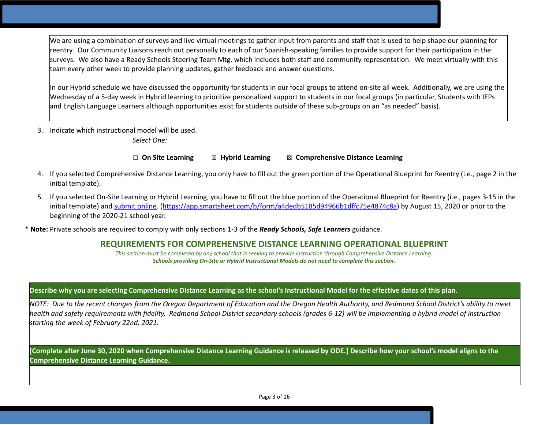We are using a combination of surveys and live virtual meetings to gather input from parents and staff that is used to help shape our planning for reentry. Our Community Liaisons reach out personally to each of our Spanish-speaking families to provide support for their participation in the surveys. We also have a Ready Schools Steering Team Mtg. which includes both staff and community representation. We meet virtually with this team every other week to provide planning updates, gather feedback and answer questions.

In our Hybrid schedule we have discussed the opportunity for students in our focal groups to attend on-site all week. Additionally, we are using the Wednesday of a 5-day week in Hybrid learning to prioritize personalized support to students in our focal groups (in particular, Students with IEPs and English Language Learners although opportunities exist for students outside of these sub-groups on an "as needed" basis).

3. Indicate which instructional model will be used.

*Select One:*

☐ **On Site Learning** ☒ **Hybrid Learning** ☒ **Comprehensive Distance Learning**

- 4. If you selected Comprehensive Distance Learning, you only have to fill out the green portion of the Operational Blueprint for Reentry (i.e., page 2 in the initial template).
- 5. If you selected On-Site Learning or Hybrid Learning, you have to fill out the blue portion of the Operational Blueprint for Reentry (i.e., pages 3-15 in the initial template) and [submit](https://app.smartsheet.com/b/form/a4dedb5185d94966b1dffc75e4874c8a) online. ([https://app.smartsheet.com/b/form/a4dedb5185d94966b1dffc75e4874c8a\)](https://app.smartsheet.com/b/form/a4dedb5185d94966b1dffc75e4874c8a) by August 15, 2020 or prior to the beginning of the 2020-21 school year.

\* **Note:** Private schools are required to comply with only sections 1-3 of the *Ready Schools, Safe Learners* guidance.

# **REQUIREMENTS FOR COMPREHENSIVE DISTANCE LEARNING OPERATIONAL BLUEPRINT**

*This section must be completed by any school that is seeking to provide instruction through Comprehensive Distance Learning. Schools providing On-Site or Hybrid Instructional Models do not need to complete this section.* 

### Describe why you are selecting Comprehensive Distance Learning as the school's Instructional Model for the effective dates of this plan.

NOTE: Due to the recent changes from the Oregon Department of Education and the Oregon Health Authority, and Redmond School District's ability to meet health and safety reauirements with fidelity. Redmond School District secondary schools (arades 6-12) will be implementina a hybrid model of instruction *starting the week of February 22nd, 2021.*

[Complete after June 30, 2020 when Comprehensive Distance Learning Guidance is released by ODE.] Describe how your school's model aligns to the **Comprehensive Distance Learning Guidance.**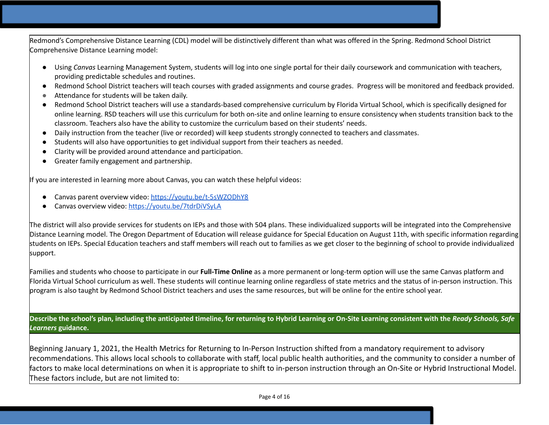Redmond's Comprehensive Distance Learning (CDL) model will be distinctively different than what was offered in the Spring. Redmond School District Comprehensive Distance Learning model:

- Using *Canvas* Learning Management System, students will log into one single portal for their daily coursework and communication with teachers, providing predictable schedules and routines.
- Redmond School District teachers will teach courses with graded assignments and course grades. Progress will be monitored and feedback provided.
- Attendance for students will be taken daily.
- Redmond School District teachers will use a standards-based comprehensive curriculum by Florida Virtual School, which is specifically designed for online learning. RSD teachers will use this curriculum for both on-site and online learning to ensure consistency when students transition back to the classroom. Teachers also have the ability to customize the curriculum based on their students' needs.
- Daily instruction from the teacher (live or recorded) will keep students strongly connected to teachers and classmates.
- Students will also have opportunities to get individual support from their teachers as needed.
- Clarity will be provided around attendance and participation.
- Greater family engagement and partnership.

If you are interested in learning more about Canvas, you can watch these helpful videos:

- Canvas parent overview video: <https://youtu.be/t-5sWZODhY8>
- Canvas overview video: https://voutu.be/7tdrDiVSyLA

The district will also provide services for students on IEPs and those with 504 plans. These individualized supports will be integrated into the Comprehensive Distance Learning model. The Oregon Department of Education will release guidance for Special Education on August 11th, with specific information regarding students on IEPs. Special Education teachers and staff members will reach out to families as we get closer to the beginning of school to provide individualized support.

Families and students who choose to participate in our **Full-Time Online** as a more permanent or long-term option will use the same Canvas platform and Florida Virtual School curriculum as well. These students will continue learning online regardless of state metrics and the status of in-person instruction. This program is also taught by Redmond School District teachers and uses the same resources, but will be online for the entire school year.

Describe the school's plan, including the anticipated timeline, for returning to Hybrid Learning or On-Site Learning consistent with the Ready Schools, Safe *Learners* **guidance.**

Beginning January 1, 2021, the Health Metrics for Returning to In-Person Instruction shifted from a mandatory requirement to advisory recommendations. This allows local schools to collaborate with staff, local public health authorities, and the community to consider a number of factors to make local determinations on when it is appropriate to shift to in-person instruction through an On-Site or Hybrid Instructional Model. These factors include, but are not limited to: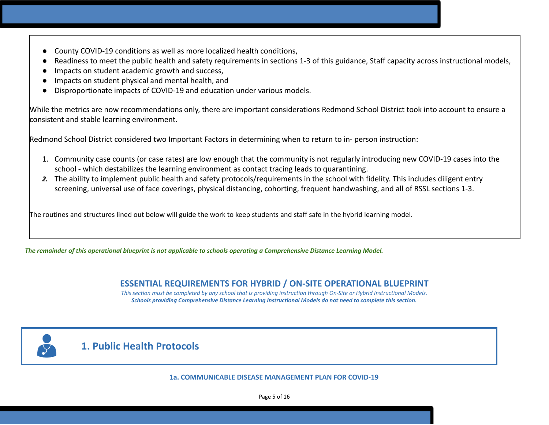- County COVID-19 conditions as well as more localized health conditions,
- Readiness to meet the public health and safety requirements in sections 1-3 of this guidance, Staff capacity across instructional models,
- Impacts on student academic growth and success,
- Impacts on student physical and mental health, and
- Disproportionate impacts of COVID-19 and education under various models.

While the metrics are now recommendations only, there are important considerations Redmond School District took into account to ensure a consistent and stable learning environment.

Redmond School District considered two Important Factors in determining when to return to in- person instruction:

- 1. Community case counts (or case rates) are low enough that the community is not regularly introducing new COVID-19 cases into the school - which destabilizes the learning environment as contact tracing leads to quarantining.
- *2.* The ability to implement public health and safety protocols/requirements in the school with fidelity. This includes diligent entry screening, universal use of face coverings, physical distancing, cohorting, frequent handwashing, and all of RSSL sections 1-3.

The routines and structures lined out below will guide the work to keep students and staff safe in the hybrid learning model.

The remainder of this operational blueprint is not applicable to schools operating a Comprehensive Distance Learning Model.

# **ESSENTIAL REQUIREMENTS FOR HYBRID / ON-SITE OPERATIONAL BLUEPRINT**

*This section must be completed by any school that is providing instruction through On-Site or Hybrid Instructional Models. Schools providing Comprehensive Distance Learning Instructional Models do not need to complete this section.* 



# **1. Public Health Protocols**

**1a. COMMUNICABLE DISEASE MANAGEMENT PLAN FOR COVID-19**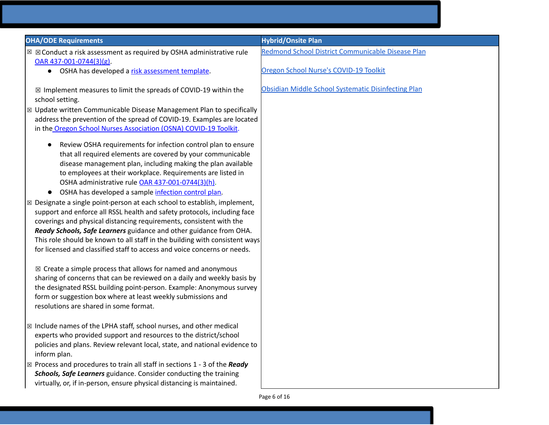| <b>OHA/ODE Requirements</b>                                                                                                                                     | <b>Hybrid/Onsite Plan</b>                           |
|-----------------------------------------------------------------------------------------------------------------------------------------------------------------|-----------------------------------------------------|
| $\boxtimes$ $\boxtimes$ Conduct a risk assessment as required by OSHA administrative rule<br>$OAR$ 437-001-0744(3)(g).                                          | Redmond School District Communicable Disease Plan   |
| OSHA has developed a risk assessment template.<br>$\bullet$                                                                                                     | Oregon School Nurse's COVID-19 Toolkit              |
| $\boxtimes$ Implement measures to limit the spreads of COVID-19 within the<br>school setting.                                                                   | Obsidian Middle School Systematic Disinfecting Plan |
| ⊠ Update written Communicable Disease Management Plan to specifically                                                                                           |                                                     |
| address the prevention of the spread of COVID-19. Examples are located                                                                                          |                                                     |
| in the Oregon School Nurses Association (OSNA) COVID-19 Toolkit.                                                                                                |                                                     |
| Review OSHA requirements for infection control plan to ensure<br>$\bullet$                                                                                      |                                                     |
| that all required elements are covered by your communicable                                                                                                     |                                                     |
| disease management plan, including making the plan available                                                                                                    |                                                     |
| to employees at their workplace. Requirements are listed in                                                                                                     |                                                     |
| OSHA administrative rule OAR 437-001-0744(3)(h).                                                                                                                |                                                     |
| OSHA has developed a sample infection control plan.<br>$\bullet$                                                                                                |                                                     |
| $\boxtimes$ Designate a single point-person at each school to establish, implement,<br>support and enforce all RSSL health and safety protocols, including face |                                                     |
| coverings and physical distancing requirements, consistent with the                                                                                             |                                                     |
| Ready Schools, Safe Learners guidance and other guidance from OHA.                                                                                              |                                                     |
| This role should be known to all staff in the building with consistent ways                                                                                     |                                                     |
| for licensed and classified staff to access and voice concerns or needs.                                                                                        |                                                     |
| $\boxtimes$ Create a simple process that allows for named and anonymous                                                                                         |                                                     |
| sharing of concerns that can be reviewed on a daily and weekly basis by                                                                                         |                                                     |
| the designated RSSL building point-person. Example: Anonymous survey                                                                                            |                                                     |
| form or suggestion box where at least weekly submissions and                                                                                                    |                                                     |
| resolutions are shared in some format.                                                                                                                          |                                                     |
| $\boxtimes$ Include names of the LPHA staff, school nurses, and other medical                                                                                   |                                                     |
| experts who provided support and resources to the district/school                                                                                               |                                                     |
| policies and plans. Review relevant local, state, and national evidence to<br>inform plan.                                                                      |                                                     |
| $\boxtimes$ Process and procedures to train all staff in sections 1 - 3 of the Ready                                                                            |                                                     |
| Schools, Safe Learners guidance. Consider conducting the training                                                                                               |                                                     |
| virtually, or, if in-person, ensure physical distancing is maintained.                                                                                          |                                                     |
|                                                                                                                                                                 | Page 6 of 16                                        |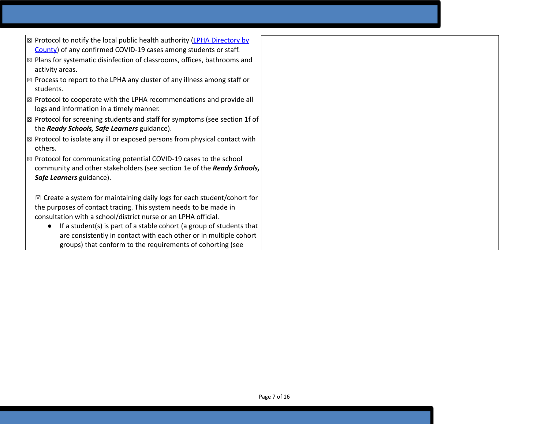- $\boxtimes$  Protocol to notify the local public health authority (LPHA [Directory](https://www.oregon.gov/oha/ph/providerpartnerresources/localhealthdepartmentresources/pages/lhd.aspx) by [County](https://www.oregon.gov/oha/ph/providerpartnerresources/localhealthdepartmentresources/pages/lhd.aspx)) of any confirmed COVID-19 cases among students or staff.
- ☒ Plans for systematic disinfection of classrooms, offices, bathrooms and activity areas.
- ☒ Process to report to the LPHA any cluster of any illness among staff or students.
- ☒ Protocol to cooperate with the LPHA recommendations and provide all logs and information in a timely manner.
- ☒ Protocol for screening students and staff for symptoms (see section 1f of the *Ready Schools, Safe Learners* guidance).
- ☒ Protocol to isolate any ill or exposed persons from physical contact with others.
- ☒ Protocol for communicating potential COVID-19 cases to the school community and other stakeholders (see section 1e of the *Ready Schools, Safe Learners* guidance).

 $\boxtimes$  Create a system for maintaining daily logs for each student/cohort for the purposes of contact tracing. This system needs to be made in consultation with a school/district nurse or an LPHA official.

● If a student(s) is part of a stable cohort (a group of students that are consistently in contact with each other or in multiple cohort groups) that conform to the requirements of cohorting (see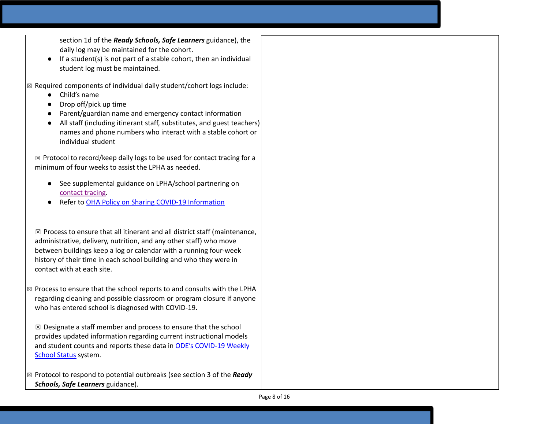section 1d of the *Ready Schools, Safe Learners* guidance), the daily log may be maintained for the cohort.

• If a student(s) is not part of a stable cohort, then an individual student log must be maintained.

 $\boxtimes$  Required components of individual daily student/cohort logs include:

- Child's name
- Drop off/pick up time
- Parent/guardian name and emergency contact information
- All staff (including itinerant staff, substitutes, and guest teachers) names and phone numbers who interact with a stable cohort or individual student

 $\boxtimes$  Protocol to record/keep daily logs to be used for contact tracing for a minimum of four weeks to assist the LPHA as needed.

- See suppleme[n](https://www.oregon.gov/ode/students-and-family/healthsafety/Documents/LPHA%20Capacity%20Needs%20and%20Contact%20Tracing.pdf)tal guidance on LPHA/school partnering on contact tra[cin](https://www.oregon.gov/ode/students-and-family/healthsafety/Documents/LPHA%20Capacity%20Needs%20and%20Contact%20Tracing.pdf)g.
- Refer to OHA [Polic](https://www.oregon.gov/ode/students-and-family/healthsafety/Documents/Sharing%20COVID%20Information%20with%20Schools.pdf)y on Sharing COVID-19 Information

 $\boxtimes$  Process to ensure that all itinerant and all district staff (maintenance, administrative, delivery, nutrition, and any other staff) who move between buildings keep a log or calendar with a running four-week history of their time in each school building and who they were in contact with at each site.

 $\boxtimes$  Process to ensure that the school reports to and consults with the LPHA regarding cleaning and possible classroom or program closure if anyone who has entered school is diagnosed with COVID-19.

 $\boxtimes$  Designate a staff member and process to ensure that the school provides updated information regarding current instructional models and student counts and reports these data i[n](https://www.oregon.gov/ode/students-and-family/healthsafety/Pages/2020-21-School-Status.aspx) ODE's [COVID-19](https://www.oregon.gov/ode/students-and-family/healthsafety/Pages/2020-21-School-Status.aspx) Weekly [School](https://www.oregon.gov/ode/students-and-family/healthsafety/Pages/2020-21-School-Status.aspx) Status system.

☒ Protocol to respond to potential outbreaks (see section 3 of the *Ready Schools, Safe Learners* guidance).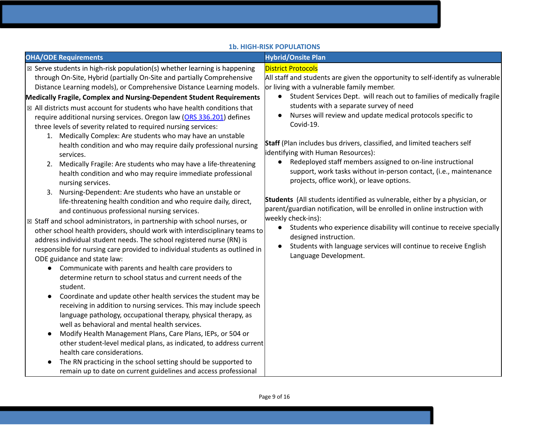|                                                                                                                                                                                                                                                                                                                                                                                                                                                                                                                                                                                                                                                                                                                                                                                                                                                                                                                                                                                                                                                                                                                                                                                                                                                                                                                                                                                                                                                                                                                                                                                                                                                                                                                                                                                               | <b>1b. HIGH-RISK POPULATIONS</b>                                                                                                                                                                                                                                                                                                                                                                                                                                                                                                                                                                                                                                                                                                                                                                                                                                                                                                                                                                                                                          |
|-----------------------------------------------------------------------------------------------------------------------------------------------------------------------------------------------------------------------------------------------------------------------------------------------------------------------------------------------------------------------------------------------------------------------------------------------------------------------------------------------------------------------------------------------------------------------------------------------------------------------------------------------------------------------------------------------------------------------------------------------------------------------------------------------------------------------------------------------------------------------------------------------------------------------------------------------------------------------------------------------------------------------------------------------------------------------------------------------------------------------------------------------------------------------------------------------------------------------------------------------------------------------------------------------------------------------------------------------------------------------------------------------------------------------------------------------------------------------------------------------------------------------------------------------------------------------------------------------------------------------------------------------------------------------------------------------------------------------------------------------------------------------------------------------|-----------------------------------------------------------------------------------------------------------------------------------------------------------------------------------------------------------------------------------------------------------------------------------------------------------------------------------------------------------------------------------------------------------------------------------------------------------------------------------------------------------------------------------------------------------------------------------------------------------------------------------------------------------------------------------------------------------------------------------------------------------------------------------------------------------------------------------------------------------------------------------------------------------------------------------------------------------------------------------------------------------------------------------------------------------|
| <b>OHA/ODE Requirements</b>                                                                                                                                                                                                                                                                                                                                                                                                                                                                                                                                                                                                                                                                                                                                                                                                                                                                                                                                                                                                                                                                                                                                                                                                                                                                                                                                                                                                                                                                                                                                                                                                                                                                                                                                                                   | <b>Hybrid/Onsite Plan</b>                                                                                                                                                                                                                                                                                                                                                                                                                                                                                                                                                                                                                                                                                                                                                                                                                                                                                                                                                                                                                                 |
| $\boxtimes$ Serve students in high-risk population(s) whether learning is happening<br>through On-Site, Hybrid (partially On-Site and partially Comprehensive<br>Distance Learning models), or Comprehensive Distance Learning models.<br>Medically Fragile, Complex and Nursing-Dependent Student Requirements<br>$\boxtimes$ All districts must account for students who have health conditions that<br>require additional nursing services. Oregon law (ORS 336.201) defines<br>three levels of severity related to required nursing services:<br>1. Medically Complex: Are students who may have an unstable<br>health condition and who may require daily professional nursing<br>services.<br>2. Medically Fragile: Are students who may have a life-threatening<br>health condition and who may require immediate professional<br>nursing services.<br>3. Nursing-Dependent: Are students who have an unstable or<br>life-threatening health condition and who require daily, direct,<br>and continuous professional nursing services.<br>⊠ Staff and school administrators, in partnership with school nurses, or<br>other school health providers, should work with interdisciplinary teams to<br>address individual student needs. The school registered nurse (RN) is<br>responsible for nursing care provided to individual students as outlined in<br>ODE guidance and state law:<br>Communicate with parents and health care providers to<br>determine return to school status and current needs of the<br>student.<br>Coordinate and update other health services the student may be<br>receiving in addition to nursing services. This may include speech<br>language pathology, occupational therapy, physical therapy, as<br>well as behavioral and mental health services. | <b>District Protocols</b><br>All staff and students are given the opportunity to self-identify as vulnerable<br>or living with a vulnerable family member.<br>Student Services Dept. will reach out to families of medically fragile<br>students with a separate survey of need<br>Nurses will review and update medical protocols specific to<br>Covid-19.<br>Staff (Plan includes bus drivers, classified, and limited teachers self<br>identifying with Human Resources):<br>Redeployed staff members assigned to on-line instructional<br>support, work tasks without in-person contact, (i.e., maintenance<br>projects, office work), or leave options.<br>Students (All students identified as vulnerable, either by a physician, or<br>parent/guardian notification, will be enrolled in online instruction with<br>weekly check-ins):<br>Students who experience disability will continue to receive specially<br>$\bullet$<br>designed instruction.<br>Students with language services will continue to receive English<br>Language Development. |
| Modify Health Management Plans, Care Plans, IEPs, or 504 or<br>$\bullet$<br>other student-level medical plans, as indicated, to address current<br>health care considerations.<br>The RN practicing in the school setting should be supported to<br>remain up to date on current guidelines and access professional                                                                                                                                                                                                                                                                                                                                                                                                                                                                                                                                                                                                                                                                                                                                                                                                                                                                                                                                                                                                                                                                                                                                                                                                                                                                                                                                                                                                                                                                           |                                                                                                                                                                                                                                                                                                                                                                                                                                                                                                                                                                                                                                                                                                                                                                                                                                                                                                                                                                                                                                                           |

Page 9 of 16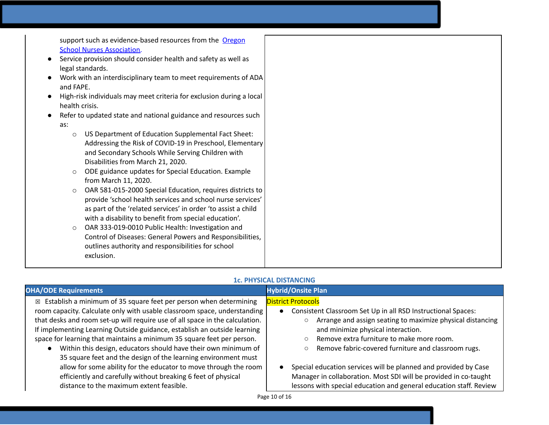support such as evidence-based resources from the [Oregon](https://www.oregonschoolnurses.org/resources/covid-19-toolkit) School Nurses [Association](https://www.oregonschoolnurses.org/resources/covid-19-toolkit).

- Service provision should consider health and safety as well as legal standards.
- Work with an interdisciplinary team to meet requirements of ADA and FAPE.
- High-risk individuals may meet criteria for exclusion during a local health crisis.
- Refer to updated state and national guidance and resources such as:
	- o US Department of Education Supplemental Fact Sheet: Addressing the Risk of COVID-19 in Preschool, Elementary and Secondary Schools While Serving Children with Disabilities from March 21, 2020.
	- o ODE guidance updates for Special Education. Example from March 11, 2020.
	- o OAR 581-015-2000 Special Education, requires districts to provide 'school health services and school nurse services' as part of the 'related services' in order 'to assist a child with a disability to benefit from special education'.
	- o OAR 333-019-0010 Public Health: Investigation and Control of Diseases: General Powers and Responsibilities, outlines authority and responsibilities for school exclusion.

# **1c. PHYSICAL DISTANCING**

| <b>OHA/ODE Requirements</b>                                                                                                                                                                                                                                                                                                                                                                                                                                                                                                                                                                                                                                                                                             | <b>Hybrid/Onsite Plan</b>                                                                                                                                                                                                                                                                                                                                                                                                                                                                                                 |
|-------------------------------------------------------------------------------------------------------------------------------------------------------------------------------------------------------------------------------------------------------------------------------------------------------------------------------------------------------------------------------------------------------------------------------------------------------------------------------------------------------------------------------------------------------------------------------------------------------------------------------------------------------------------------------------------------------------------------|---------------------------------------------------------------------------------------------------------------------------------------------------------------------------------------------------------------------------------------------------------------------------------------------------------------------------------------------------------------------------------------------------------------------------------------------------------------------------------------------------------------------------|
| Establish a minimum of 35 square feet per person when determining<br>$\boxtimes$<br>room capacity. Calculate only with usable classroom space, understanding<br>that desks and room set-up will require use of all space in the calculation.<br>If implementing Learning Outside guidance, establish an outside learning<br>space for learning that maintains a minimum 35 square feet per person.<br>Within this design, educators should have their own minimum of<br>35 square feet and the design of the learning environment must<br>allow for some ability for the educator to move through the room<br>efficiently and carefully without breaking 6 feet of physical<br>distance to the maximum extent feasible. | <b>District Protocols</b><br>Consistent Classroom Set Up in all RSD Instructional Spaces:<br>Arrange and assign seating to maximize physical distancing<br>and minimize physical interaction.<br>Remove extra furniture to make more room.<br>Remove fabric-covered furniture and classroom rugs.<br>$\circ$<br>Special education services will be planned and provided by Case<br>Manager in collaboration. Most SDI will be provided in co-taught<br>lessons with special education and general education staff. Review |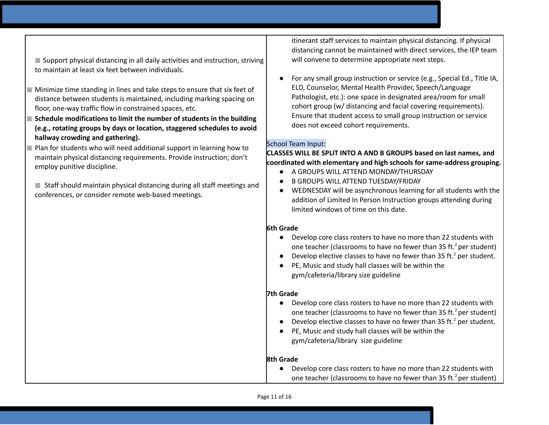$\boxtimes$  Support physical distancing in all daily activities and instruction, striving to maintain at least six feet between individuals.

- $\boxtimes$  Minimize time standing in lines and take steps to ensure that six feet of distance between students is maintained, including marking spacing on floor, one-way traffic flow in constrained spaces, etc.
- ☒ **Schedule modifications to limit the number of students in the building (e.g., rotating groups by days or location, staggered schedules to avoid hallway crowding and gathering).**
- $\boxtimes$  Plan for students who will need additional support in learning how to maintain physical distancing requirements. Provide instruction; don't employ punitive discipline.

 $\boxtimes$  Staff should maintain physical distancing during all staff meetings and conferences, or consider remote web-based meetings.

itinerant staff services to maintain physical distancing. If physical distancing cannot be maintained with direct services, the IEP team will convene to determine appropriate next steps.

● For any small group instruction or service (e.g., Special Ed., Title IA, ELD, Counselor, Mental Health Provider, Speech/Language Pathologist, etc.): one space in designated area/room for small cohort group (w/ distancing and facial covering requirements). Ensure that student access to small group instruction or service does not exceed cohort requirements.

### School Team Input:

### **CLASSES WILL BE SPLIT INTO A AND B GROUPS based on last names, and coordinated with elementary and high schools for same-address grouping.**

- A GROUPS WILL ATTEND MONDAY/THURSDAY
- B GROUPS WILL ATTEND TUESDAY/FRIDAY
- WEDNESDAY will be asynchronous learning for all students with the addition of Limited In Person Instruction groups attending during limited windows of time on this date.

# **6th Grade**

- Develop core class rosters to have no more than 22 students with one teacher (classrooms to have no fewer than 35 ft.<sup>2</sup> per student)
- Develop elective classes to have no fewer than 35 ft.<sup>2</sup> per student.
- PE, Music and study hall classes will be within the gym/cafeteria/library size guideline

### **7th Grade**

- Develop core class rosters to have no more than 22 students with one teacher (classrooms to have no fewer than 35 ft.<sup>2</sup> per student)
- Develop elective classes to have no fewer than 35 ft.<sup>2</sup> per student.
- PE, Music and study hall classes will be within the gym/cafeteria/library size guideline

# **8th Grade**

● Develop core class rosters to have no more than 22 students with one teacher (classrooms to have no fewer than 35 ft.<sup>2</sup> per student)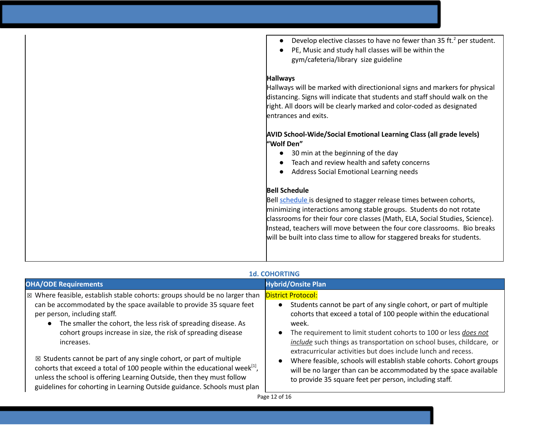| Develop elective classes to have no fewer than 35 ft. <sup>2</sup> per student.<br>PE, Music and study hall classes will be within the<br>gym/cafeteria/library size guideline                                                                                                                                                                                                                                                                                                        |
|---------------------------------------------------------------------------------------------------------------------------------------------------------------------------------------------------------------------------------------------------------------------------------------------------------------------------------------------------------------------------------------------------------------------------------------------------------------------------------------|
| <b>Hallways</b>                                                                                                                                                                                                                                                                                                                                                                                                                                                                       |
| Hallways will be marked with directionional signs and markers for physical<br>distancing. Signs will indicate that students and staff should walk on the<br>right. All doors will be clearly marked and color-coded as designated<br>entrances and exits.<br><b>AVID School-Wide/Social Emotional Learning Class (all grade levels)</b><br>"Wolf Den"<br>30 min at the beginning of the day<br>Teach and review health and safety concerns<br>Address Social Emotional Learning needs |
|                                                                                                                                                                                                                                                                                                                                                                                                                                                                                       |
| <b>Bell Schedule</b>                                                                                                                                                                                                                                                                                                                                                                                                                                                                  |
| Bell schedule is designed to stagger release times between cohorts,<br>minimizing interactions among stable groups. Students do not rotate<br>classrooms for their four core classes (Math, ELA, Social Studies, Science).<br>Instead, teachers will move between the four core classrooms. Bio breaks<br>will be built into class time to allow for staggered breaks for students.                                                                                                   |
|                                                                                                                                                                                                                                                                                                                                                                                                                                                                                       |

### **1d. COHORTING**

| <b>OHA/ODE Requirements</b>                                                                                                                                                                                                                                                                                                                            | <b>Hybrid/Onsite Plan</b>                                                                                                                                                                                                                                                                                                                                                                |
|--------------------------------------------------------------------------------------------------------------------------------------------------------------------------------------------------------------------------------------------------------------------------------------------------------------------------------------------------------|------------------------------------------------------------------------------------------------------------------------------------------------------------------------------------------------------------------------------------------------------------------------------------------------------------------------------------------------------------------------------------------|
| $\vert$ $\boxtimes$ Where feasible, establish stable cohorts: groups should be no larger than<br>can be accommodated by the space available to provide 35 square feet<br>per person, including staff.<br>The smaller the cohort, the less risk of spreading disease. As<br>cohort groups increase in size, the risk of spreading disease<br>increases. | <b>District Protocol:</b><br>Students cannot be part of any single cohort, or part of multiple<br>cohorts that exceed a total of 100 people within the educational<br>week.<br>The requirement to limit student cohorts to 100 or less does not<br>include such things as transportation on school buses, childcare, or<br>extracurricular activities but does include lunch and recess. |
| $\boxtimes$ Students cannot be part of any single cohort, or part of multiple<br>cohorts that exceed a total of 100 people within the educational week <sup>[1]</sup> ,<br>unless the school is offering Learning Outside, then they must follow<br>guidelines for cohorting in Learning Outside guidance. Schools must plan                           | Where feasible, schools will establish stable cohorts. Cohort groups<br>will be no larger than can be accommodated by the space available<br>to provide 35 square feet per person, including staff.                                                                                                                                                                                      |

Page 12 of 16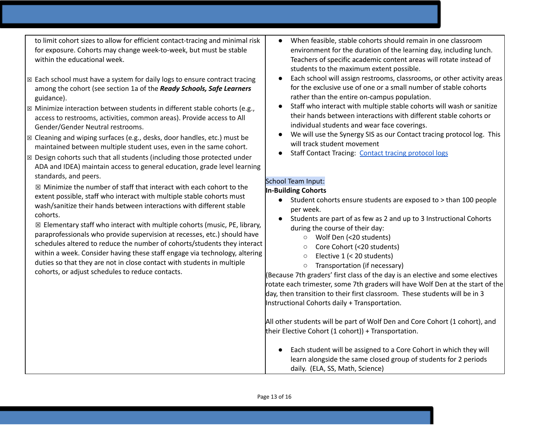to limit cohort sizes to allow for efficient contact-tracing and minimal risk for exposure. Cohorts may change week-to-week, but must be stable within the educational week.

- ☒ Each school must have a system for daily logs to ensure contract tracing among the cohort (see section 1a of the *Ready Schools, Safe Learners* guidance).
- ☒ Minimize interaction between students in different stable cohorts (e.g., access to restrooms, activities, common areas). Provide access to All Gender/Gender Neutral restrooms.
- ☒ Cleaning and wiping surfaces (e.g., desks, door handles, etc.) must be maintained between multiple student uses, even in the same cohort.
- $\boxtimes$  Design cohorts such that all students (including those protected under ADA and IDEA) maintain access to general education, grade level learning standards, and peers.

☒ Minimize the number of staff that interact with each cohort to the extent possible, staff who interact with multiple stable cohorts must wash/sanitize their hands between interactions with different stable cohorts.

 $\boxtimes$  Elementary staff who interact with multiple cohorts (music, PE, library, paraprofessionals who provide supervision at recesses, etc.) should have schedules altered to reduce the number of cohorts/students they interact within a week. Consider having these staff engage via technology, altering duties so that they are not in close contact with students in multiple cohorts, or adjust schedules to reduce contacts.

- When feasible, stable cohorts should remain in one classroom environment for the duration of the learning day, including lunch. Teachers of specific academic content areas will rotate instead of students to the maximum extent possible.
- Each school will assign restrooms, classrooms, or other activity areas for the exclusive use of one or a small number of stable cohorts rather than the entire on-campus population.
- Staff who interact with multiple stable cohorts will wash or sanitize their hands between interactions with different stable cohorts or individual students and wear face coverings.
- We will use the Synergy SIS as our Contact tracing protocol log. This will track student movement
- Staff Contact Tracing: Contact tracing [protocol](https://docs.google.com/document/d/1hj6nIWiN7zIQ6gVQLIsV3iR_tX3w8YgSvfHYoRkBuCc/edit?usp=sharing) logs

### School Team Input: **In-Building Cohorts**

- Student cohorts ensure students are exposed to > than 100 people per week.
- Students are part of as few as 2 and up to 3 Instructional Cohorts during the course of their day:
	- Wolf Den (<20 students)
	- Core Cohort (<20 students)
	- Elective 1 (< 20 students)
	- Transportation (if necessary)

(Because 7th graders' first class of the day is an elective and some electives rotate each trimester, some 7th graders will have Wolf Den at the start of the day, then transition to their first classroom. These students will be in 3 Instructional Cohorts daily + Transportation.

All other students will be part of Wolf Den and Core Cohort (1 cohort), and their Elective Cohort (1 cohort)) + Transportation.

● Each student will be assigned to a Core Cohort in which they will learn alongside the same closed group of students for 2 periods daily. (ELA, SS, Math, Science)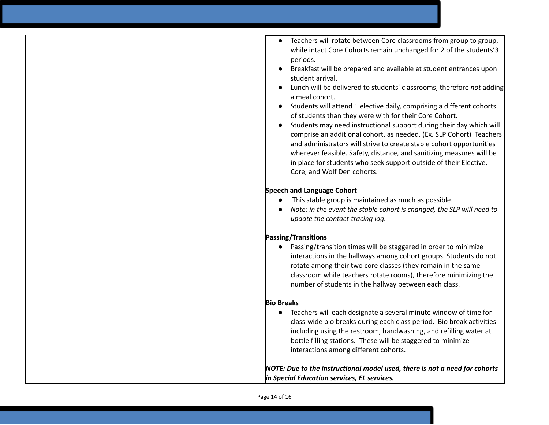- Teachers will rotate between Core classrooms from group to group, while intact Core Cohorts remain unchanged for 2 of the students'3 periods.
- Breakfast will be prepared and available at student entrances upon student arrival.
- Lunch will be delivered to students' classrooms, therefore *not* adding a meal cohort.
- Students will attend 1 elective daily, comprising a different cohorts of students than they were with for their Core Cohort.
- Students may need instructional support during their day which will comprise an additional cohort, as needed. (Ex. SLP Cohort) Teachers and administrators will strive to create stable cohort opportunities wherever feasible. Safety, distance, and sanitizing measures will be in place for students who seek support outside of their Elective, Core, and Wolf Den cohorts.

### **Speech and Language Cohort**

- This stable group is maintained as much as possible.
- *● Note: in the event the stable cohort is changed, the SLP will need to update the contact-tracing log.*

### **Passing/Transitions**

● Passing/transition times will be staggered in order to minimize interactions in the hallways among cohort groups. Students do not rotate among their two core classes (they remain in the same classroom while teachers rotate rooms), therefore minimizing the number of students in the hallway between each class.

#### **Bio Breaks**

● Teachers will each designate a several minute window of time for class-wide bio breaks during each class period. Bio break activities including using the restroom, handwashing, and refilling water at bottle filling stations. These will be staggered to minimize interactions among different cohorts.

*NOTE: Due to the instructional model used, there is not a need for cohorts in Special Education services, EL services.*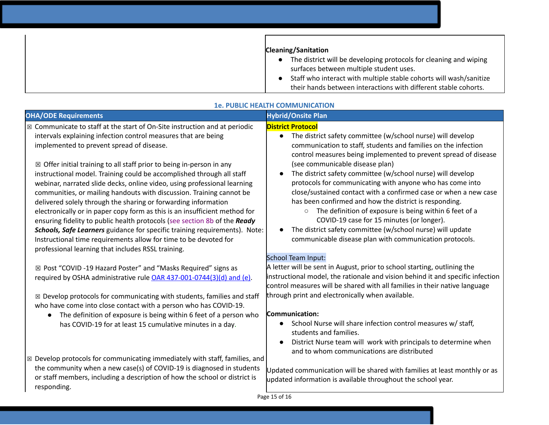| <b>Cleaning/Sanitation</b>                                         |
|--------------------------------------------------------------------|
| The district will be developing protocols for cleaning and wiping  |
| surfaces between multiple student uses.                            |
| Staff who interact with multiple stable cohorts will wash/sanitize |
| their hands between interactions with different stable cohorts.    |

| <b>OHA/ODE Requirements</b>                                                                                                                                                                                                                                                                                                                                                                                                                                                                                                                                                                                                                                                                                                                                                                                                    | <b>Hybrid/Onsite Plan</b>                                                                                                                                                                                                                                                                                                                                                                                                                                                                                                                                                                                                                                                                                              |
|--------------------------------------------------------------------------------------------------------------------------------------------------------------------------------------------------------------------------------------------------------------------------------------------------------------------------------------------------------------------------------------------------------------------------------------------------------------------------------------------------------------------------------------------------------------------------------------------------------------------------------------------------------------------------------------------------------------------------------------------------------------------------------------------------------------------------------|------------------------------------------------------------------------------------------------------------------------------------------------------------------------------------------------------------------------------------------------------------------------------------------------------------------------------------------------------------------------------------------------------------------------------------------------------------------------------------------------------------------------------------------------------------------------------------------------------------------------------------------------------------------------------------------------------------------------|
| $\boxtimes$ Communicate to staff at the start of On-Site instruction and at periodic<br>intervals explaining infection control measures that are being<br>implemented to prevent spread of disease.<br>$\boxtimes$ Offer initial training to all staff prior to being in-person in any<br>instructional model. Training could be accomplished through all staff<br>webinar, narrated slide decks, online video, using professional learning<br>communities, or mailing handouts with discussion. Training cannot be<br>delivered solely through the sharing or forwarding information<br>electronically or in paper copy form as this is an insufficient method for<br>ensuring fidelity to public health protocols (see section 8b of the Ready<br>Schools, Safe Learners guidance for specific training requirements). Note: | <b>District Protocol</b><br>The district safety committee (w/school nurse) will develop<br>$\bullet$<br>communication to staff, students and families on the infection<br>control measures being implemented to prevent spread of disease<br>(see communicable disease plan)<br>The district safety committee (w/school nurse) will develop<br>protocols for communicating with anyone who has come into<br>close/sustained contact with a confirmed case or when a new case<br>has been confirmed and how the district is responding.<br>The definition of exposure is being within 6 feet of a<br>$\circ$<br>COVID-19 case for 15 minutes (or longer).<br>The district safety committee (w/school nurse) will update |
| Instructional time requirements allow for time to be devoted for<br>professional learning that includes RSSL training.                                                                                                                                                                                                                                                                                                                                                                                                                                                                                                                                                                                                                                                                                                         | communicable disease plan with communication protocols.<br>School Team Input:                                                                                                                                                                                                                                                                                                                                                                                                                                                                                                                                                                                                                                          |
| ⊠ Post "COVID -19 Hazard Poster" and "Masks Required" signs as<br>required by OSHA administrative rule OAR 437-001-0744(3)(d) and (e).                                                                                                                                                                                                                                                                                                                                                                                                                                                                                                                                                                                                                                                                                         | A letter will be sent in August, prior to school starting, outlining the<br>instructional model, the rationale and vision behind it and specific infection<br>control measures will be shared with all families in their native language                                                                                                                                                                                                                                                                                                                                                                                                                                                                               |
| $\boxtimes$ Develop protocols for communicating with students, families and staff<br>who have come into close contact with a person who has COVID-19.                                                                                                                                                                                                                                                                                                                                                                                                                                                                                                                                                                                                                                                                          | through print and electronically when available.                                                                                                                                                                                                                                                                                                                                                                                                                                                                                                                                                                                                                                                                       |
| The definition of exposure is being within 6 feet of a person who<br>$\bullet$<br>has COVID-19 for at least 15 cumulative minutes in a day.                                                                                                                                                                                                                                                                                                                                                                                                                                                                                                                                                                                                                                                                                    | <b>Communication:</b><br>School Nurse will share infection control measures w/ staff,<br>students and families.<br>District Nurse team will work with principals to determine when<br>and to whom communications are distributed                                                                                                                                                                                                                                                                                                                                                                                                                                                                                       |
| $\boxtimes$ Develop protocols for communicating immediately with staff, families, and<br>the community when a new case(s) of COVID-19 is diagnosed in students<br>or staff members, including a description of how the school or district is<br>responding.                                                                                                                                                                                                                                                                                                                                                                                                                                                                                                                                                                    | Updated communication will be shared with families at least monthly or as<br>updated information is available throughout the school year.                                                                                                                                                                                                                                                                                                                                                                                                                                                                                                                                                                              |

#### **1e. PUBLIC HEALTH COMMUNICATION**

Page 15 of 16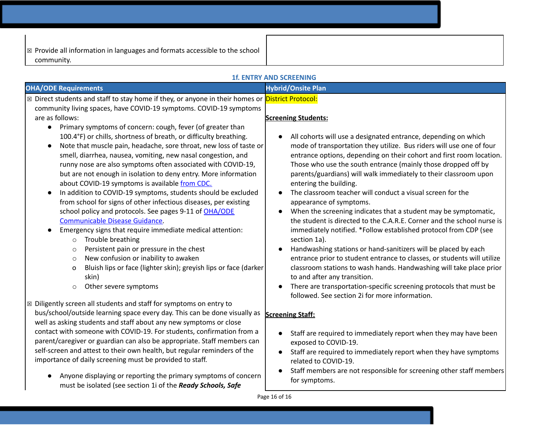| $\mathbb{R}$ Provide all information in languages and formats accessible to the school |  |
|----------------------------------------------------------------------------------------|--|
| community.                                                                             |  |

| <b>1f. ENTRY AND SCREENING</b>                                                                                                                                                                                                                                                                                                                                                                                                                                                                                                                                                                                                                                                                            |                                                                                                                                                                                                                                                                                                                                                                                                                                                                                                                                                                                                                                                                                                                                                |  |
|-----------------------------------------------------------------------------------------------------------------------------------------------------------------------------------------------------------------------------------------------------------------------------------------------------------------------------------------------------------------------------------------------------------------------------------------------------------------------------------------------------------------------------------------------------------------------------------------------------------------------------------------------------------------------------------------------------------|------------------------------------------------------------------------------------------------------------------------------------------------------------------------------------------------------------------------------------------------------------------------------------------------------------------------------------------------------------------------------------------------------------------------------------------------------------------------------------------------------------------------------------------------------------------------------------------------------------------------------------------------------------------------------------------------------------------------------------------------|--|
| <b>OHA/ODE Requirements</b>                                                                                                                                                                                                                                                                                                                                                                                                                                                                                                                                                                                                                                                                               | <b>Hybrid/Onsite Plan</b>                                                                                                                                                                                                                                                                                                                                                                                                                                                                                                                                                                                                                                                                                                                      |  |
| ⊠ Direct students and staff to stay home if they, or anyone in their homes or <b>District Protocol:</b><br>community living spaces, have COVID-19 symptoms. COVID-19 symptoms<br>are as follows:<br>Primary symptoms of concern: cough, fever (of greater than<br>$\bullet$<br>100.4°F) or chills, shortness of breath, or difficulty breathing.<br>Note that muscle pain, headache, sore throat, new loss of taste or<br>$\bullet$<br>smell, diarrhea, nausea, vomiting, new nasal congestion, and<br>runny nose are also symptoms often associated with COVID-19,                                                                                                                                       | <b>Screening Students:</b><br>All cohorts will use a designated entrance, depending on which<br>mode of transportation they utilize. Bus riders will use one of four<br>entrance options, depending on their cohort and first room location.<br>Those who use the south entrance (mainly those dropped off by                                                                                                                                                                                                                                                                                                                                                                                                                                  |  |
| but are not enough in isolation to deny entry. More information<br>about COVID-19 symptoms is available from CDC.<br>In addition to COVID-19 symptoms, students should be excluded<br>$\bullet$<br>from school for signs of other infectious diseases, per existing<br>school policy and protocols. See pages 9-11 of OHA/ODE<br>Communicable Disease Guidance.<br>Emergency signs that require immediate medical attention:<br>$\bullet$<br>Trouble breathing<br>$\circ$<br>Persistent pain or pressure in the chest<br>$\circ$<br>New confusion or inability to awaken<br>$\circ$<br>Bluish lips or face (lighter skin); greyish lips or face (darker<br>o<br>skin)<br>Other severe symptoms<br>$\circ$ | parents/guardians) will walk immediately to their classroom upon<br>entering the building.<br>The classroom teacher will conduct a visual screen for the<br>appearance of symptoms.<br>When the screening indicates that a student may be symptomatic,<br>the student is directed to the C.A.R.E. Corner and the school nurse is<br>immediately notified. *Follow established protocol from CDP (see<br>section 1a).<br>Handwashing stations or hand-sanitizers will be placed by each<br>entrance prior to student entrance to classes, or students will utilize<br>classroom stations to wash hands. Handwashing will take place prior<br>to and after any transition.<br>There are transportation-specific screening protocols that must be |  |
| ⊠ Diligently screen all students and staff for symptoms on entry to<br>bus/school/outside learning space every day. This can be done visually as<br>well as asking students and staff about any new symptoms or close<br>contact with someone with COVID-19. For students, confirmation from a<br>parent/caregiver or guardian can also be appropriate. Staff members can<br>self-screen and attest to their own health, but regular reminders of the<br>importance of daily screening must be provided to staff.<br>Anyone displaying or reporting the primary symptoms of concern                                                                                                                       | followed. See section 2i for more information.<br><b>Screening Staff:</b><br>Staff are required to immediately report when they may have been<br>exposed to COVID-19.<br>Staff are required to immediately report when they have symptoms<br>related to COVID-19.<br>Staff members are not responsible for screening other staff members<br>for symptoms.                                                                                                                                                                                                                                                                                                                                                                                      |  |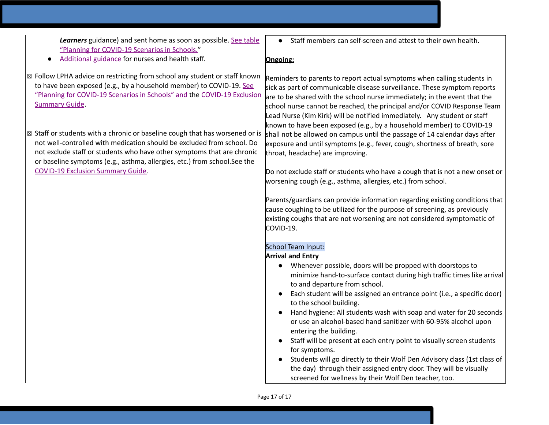*Learners* guidance) and sent home as soon as possible. See [table](https://www.oregon.gov/ode/students-and-family/healthsafety/Documents/Planning%20and%20Responding%20to%20COVID-19%20Scenarios%20in%20Schools.pdf) "Planning for [COVID-19](https://www.oregon.gov/ode/students-and-family/healthsafety/Documents/Planning%20and%20Responding%20to%20COVID-19%20Scenarios%20in%20Schools.pdf) Scenarios in Schools."

- [Additional](https://www.oregon.gov/ode/students-and-family/healthsafety/Documents/Additional%20Considerations%20for%20Staff%20Working%20with%20Students%20with%20Complex%20Needs.pdf) guidance for nurses and health staff.
- ☒ Follow LPHA advice on restricting from school any student or staff known to have been exposed (e.g., by a household member) to COVID-19[.](https://www.oregon.gov/ode/students-and-family/healthsafety/Documents/Planning%20and%20Responding%20to%20COVID-19%20Scenarios%20in%20Schools.pdf) [See](https://www.oregon.gov/ode/students-and-family/healthsafety/Documents/Planning%20and%20Responding%20to%20COVID-19%20Scenarios%20in%20Schools.pdf) "Planning for [COVID-19](https://www.oregon.gov/ode/students-and-family/healthsafety/Documents/Planning%20and%20Responding%20to%20COVID-19%20Scenarios%20in%20Schools.pdf) Scenarios in Schools" and the [COVID-19](https://www.oregon.gov/ode/students-and-family/healthsafety/Documents/COVID-19%20Exclusion%20Summary%20Chart.pdf) Exclusion [Summary](https://www.oregon.gov/ode/students-and-family/healthsafety/Documents/COVID-19%20Exclusion%20Summary%20Chart.pdf) Guide.
- ☒ Staff or students with a chronic or baseline cough that has worsened or is not well-controlled with medication should be excluded from school. Do not exclude staff or students who have other symptoms that are chronic or baseline symptoms (e.g., asthma, allergies, etc.) from school.See th[e](https://www.oregon.gov/ode/students-and-family/healthsafety/Documents/COVID-19%20Exclusion%20Summary%20Chart.pdf) [COVID-19](https://www.oregon.gov/ode/students-and-family/healthsafety/Documents/COVID-19%20Exclusion%20Summary%20Chart.pdf) Exclusion Summary Guide.

Staff members can self-screen and attest to their own health.

#### **Ongoing:**

Reminders to parents to report actual symptoms when calling students in sick as part of communicable disease surveillance. These symptom reports are to be shared with the school nurse immediately; in the event that the school nurse cannot be reached, the principal and/or COVID Response Team Lead Nurse (Kim Kirk) will be notified immediately. Any student or staff known to have been exposed (e.g., by a household member) to COVID-19 shall not be allowed on campus until the passage of 14 calendar days after exposure and until symptoms (e.g., fever, cough, shortness of breath, sore throat, headache) are improving.

Do not exclude staff or students who have a cough that is not a new onset or worsening cough (e.g., asthma, allergies, etc.) from school.

Parents/guardians can provide information regarding existing conditions that cause coughing to be utilized for the purpose of screening, as previously existing coughs that are not worsening are not considered symptomatic of COVID-19.

### School Team Input:

#### **Arrival and Entry**

- Whenever possible, doors will be propped with doorstops to minimize hand-to-surface contact during high traffic times like arrival to and departure from school.
- Each student will be assigned an entrance point (i.e., a specific door) to the school building.
- Hand hygiene: All students wash with soap and water for 20 seconds or use an alcohol-based hand sanitizer with 60-95% alcohol upon entering the building.
- Staff will be present at each entry point to visually screen students for symptoms.
- Students will go directly to their Wolf Den Advisory class (1st class of the day) through their assigned entry door. They will be visually screened for wellness by their Wolf Den teacher, too.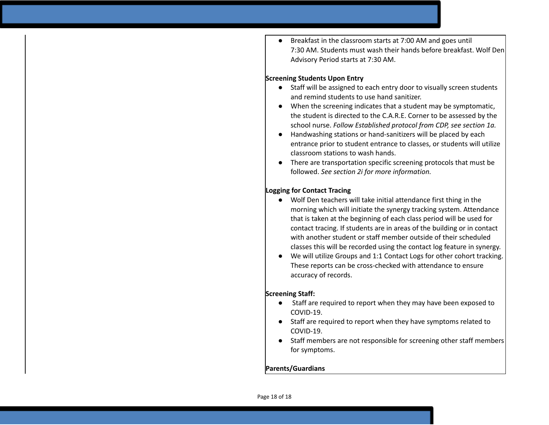Breakfast in the classroom starts at 7:00 AM and goes until 7:30 AM. Students must wash their hands before breakfast. Wolf Den Advisory Period starts at 7:30 AM.

#### **Screening Students Upon Entry**

- Staff will be assigned to each entry door to visually screen students and remind students to use hand sanitizer.
- When the screening indicates that a student may be symptomatic, the student is directed to the C.A.R.E. Corner to be assessed by the school nurse. *Follow Established protocol from CDP, see section 1a.*
- Handwashing stations or hand-sanitizers will be placed by each entrance prior to student entrance to classes, or students will utilize classroom stations to wash hands.
- There are transportation specific screening protocols that must be followed. *See section 2i for more information.*

### **Logging for Contact Tracing**

- Wolf Den teachers will take initial attendance first thing in the morning which will initiate the synergy tracking system. Attendance that is taken at the beginning of each class period will be used for contact tracing. If students are in areas of the building or in contact with another student or staff member outside of their scheduled classes this will be recorded using the contact log feature in synergy.
- We will utilize Groups and 1:1 Contact Logs for other cohort tracking. These reports can be cross-checked with attendance to ensure accuracy of records.

### **Screening Staff:**

- Staff are required to report when they may have been exposed to COVID-19.
- Staff are required to report when they have symptoms related to COVID-19.
- Staff members are not responsible for screening other staff members for symptoms.

# **Parents/Guardians**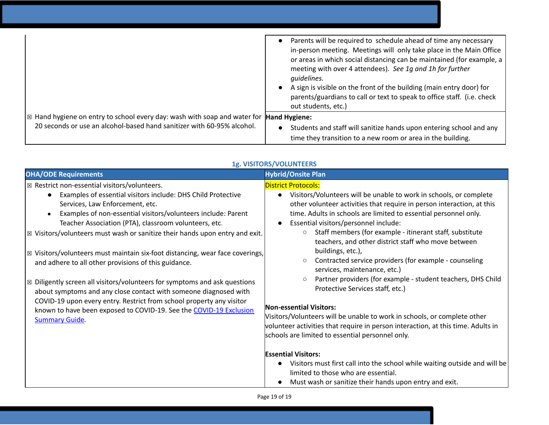|                                                                                                                  | Parents will be required to schedule ahead of time any necessary<br>in-person meeting. Meetings will only take place in the Main Office<br>or areas in which social distancing can be maintained (for example, a |
|------------------------------------------------------------------------------------------------------------------|------------------------------------------------------------------------------------------------------------------------------------------------------------------------------------------------------------------|
|                                                                                                                  | meeting with over 4 attendees). See 1g and 1h for further<br>guidelines.                                                                                                                                         |
|                                                                                                                  | A sign is visible on the front of the building (main entry door) for<br>parents/guardians to call or text to speak to office staff. (i.e. check<br>out students, etc.)                                           |
| $\vert$ $\boxtimes$ Hand hygiene on entry to school every day: wash with soap and water for <b>Hand Hygiene:</b> |                                                                                                                                                                                                                  |
|                                                                                                                  |                                                                                                                                                                                                                  |
| 20 seconds or use an alcohol-based hand sanitizer with 60-95% alcohol.                                           | Students and staff will sanitize hands upon entering school and any                                                                                                                                              |
|                                                                                                                  | time they transition to a new room or area in the building.                                                                                                                                                      |

| Visitors/Volunteers will be unable to work in schools, or complete<br>other volunteer activities that require in person interaction, at this<br>time. Adults in schools are limited to essential personnel only.<br>Essential visitors/personnel include:<br>Staff members (for example - itinerant staff, substitute<br>teachers, and other district staff who move between<br>Contracted service providers (for example - counseling<br>services, maintenance, etc.)<br>Partner providers (for example - student teachers, DHS Child<br>Protective Services staff, etc.)<br>Visitors/Volunteers will be unable to work in schools, or complete other<br>volunteer activities that require in person interaction, at this time. Adults in<br>schools are limited to essential personnel only.<br>Visitors must first call into the school while waiting outside and will be<br>limited to those who are essential.<br>Must wash or sanitize their hands upon entry and exit. |
|-------------------------------------------------------------------------------------------------------------------------------------------------------------------------------------------------------------------------------------------------------------------------------------------------------------------------------------------------------------------------------------------------------------------------------------------------------------------------------------------------------------------------------------------------------------------------------------------------------------------------------------------------------------------------------------------------------------------------------------------------------------------------------------------------------------------------------------------------------------------------------------------------------------------------------------------------------------------------------|
|                                                                                                                                                                                                                                                                                                                                                                                                                                                                                                                                                                                                                                                                                                                                                                                                                                                                                                                                                                               |

# **1g. VISITORS/VOLUNTEERS**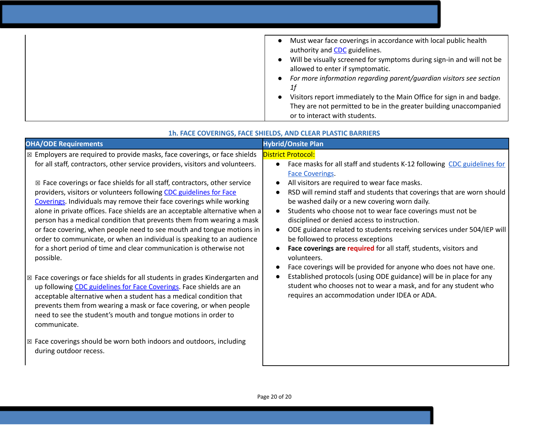| Must wear face coverings in accordance with local public health<br>$\bullet$<br>authority and <b>CDC</b> guidelines.<br>Will be visually screened for symptoms during sign-in and will not be<br>$\bullet$<br>allowed to enter if symptomatic. |
|------------------------------------------------------------------------------------------------------------------------------------------------------------------------------------------------------------------------------------------------|
|                                                                                                                                                                                                                                                |
| For more information regarding parent/guardian visitors see section<br>$\bullet$                                                                                                                                                               |
| 1f                                                                                                                                                                                                                                             |
| Visitors report immediately to the Main Office for sign in and badge.                                                                                                                                                                          |
| They are not permitted to be in the greater building unaccompanied                                                                                                                                                                             |
| or to interact with students.                                                                                                                                                                                                                  |

| <b>OHA/ODE Requirements</b>                                                                                                                                                                                                                                                                                                                                                                                                                                                                                                                                                                                                                                                                                                                                                                                                                                                                                                                                                                                                                                                                                                                                                                                | <b>Hybrid/Onsite Plan</b>                                                                                                                                                                                                                                                                                                                                                                                                                                                                                                                                                                                                                                                                                                                                                                                                                                                                  |
|------------------------------------------------------------------------------------------------------------------------------------------------------------------------------------------------------------------------------------------------------------------------------------------------------------------------------------------------------------------------------------------------------------------------------------------------------------------------------------------------------------------------------------------------------------------------------------------------------------------------------------------------------------------------------------------------------------------------------------------------------------------------------------------------------------------------------------------------------------------------------------------------------------------------------------------------------------------------------------------------------------------------------------------------------------------------------------------------------------------------------------------------------------------------------------------------------------|--------------------------------------------------------------------------------------------------------------------------------------------------------------------------------------------------------------------------------------------------------------------------------------------------------------------------------------------------------------------------------------------------------------------------------------------------------------------------------------------------------------------------------------------------------------------------------------------------------------------------------------------------------------------------------------------------------------------------------------------------------------------------------------------------------------------------------------------------------------------------------------------|
| $\boxtimes$ Employers are required to provide masks, face coverings, or face shields<br>for all staff, contractors, other service providers, visitors and volunteers.<br>$\boxtimes$ Face coverings or face shields for all staff, contractors, other service<br>providers, visitors or volunteers following CDC guidelines for Face<br>Coverings. Individuals may remove their face coverings while working<br>alone in private offices. Face shields are an acceptable alternative when a<br>person has a medical condition that prevents them from wearing a mask<br>or face covering, when people need to see mouth and tongue motions in<br>order to communicate, or when an individual is speaking to an audience<br>for a short period of time and clear communication is otherwise not<br>possible.<br>$\boxtimes$ Face coverings or face shields for all students in grades Kindergarten and<br>up following CDC guidelines for Face Coverings. Face shields are an<br>acceptable alternative when a student has a medical condition that<br>prevents them from wearing a mask or face covering, or when people<br>need to see the student's mouth and tongue motions in order to<br>communicate. | <b>District Protocol:</b><br>Face masks for all staff and students K-12 following CDC guidelines for<br><b>Face Coverings.</b><br>All visitors are required to wear face masks.<br>RSD will remind staff and students that coverings that are worn should<br>be washed daily or a new covering worn daily.<br>Students who choose not to wear face coverings must not be<br>disciplined or denied access to instruction.<br>ODE guidance related to students receiving services under 504/IEP will<br>be followed to process exceptions<br>Face coverings are required for all staff, students, visitors and<br>volunteers.<br>Face coverings will be provided for anyone who does not have one.<br>Established protocols (using ODE guidance) will be in place for any<br>student who chooses not to wear a mask, and for any student who<br>requires an accommodation under IDEA or ADA. |
| $\boxtimes$ Face coverings should be worn both indoors and outdoors, including<br>during outdoor recess.                                                                                                                                                                                                                                                                                                                                                                                                                                                                                                                                                                                                                                                                                                                                                                                                                                                                                                                                                                                                                                                                                                   |                                                                                                                                                                                                                                                                                                                                                                                                                                                                                                                                                                                                                                                                                                                                                                                                                                                                                            |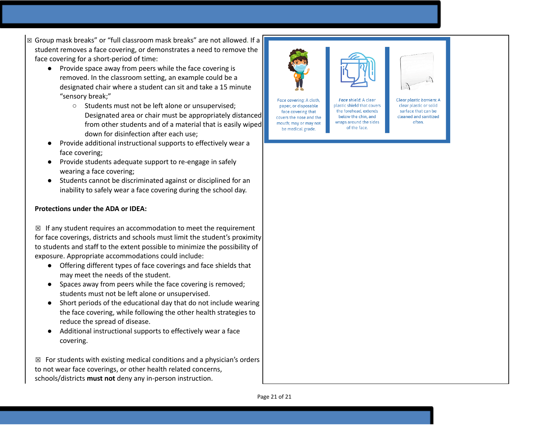- ⊠ Group mask breaks" or "full classroom mask breaks" are not allowed. If a student removes a face covering, or demonstrates a need to remove the face covering for a short-period of time:
	- Provide space away from peers while the face covering is removed. In the classroom setting, an example could be a designated chair where a student can sit and take a 15 minute "sensory break;"
		- o Students must not be left alone or unsupervised; Designated area or chair must be appropriately distanced from other students and of a material that is easily wiped down for disinfection after each use;
	- Provide additional instructional supports to effectively wear a face covering;
	- Provide students adequate support to re-engage in safely wearing a face covering;
	- $\bullet$ Students cannot be discriminated against or disciplined for an inability to safely wear a face covering during the school day.

### **Protections under the ADA or IDEA:**

 $\boxtimes$  If any student requires an accommodation to meet the requirement for face coverings, districts and schools must limit the student's proximity to students and staff to the extent possible to minimize the possibility of exposure. Appropriate accommodations could include:

- Offering different types of face coverings and face shields that may meet the needs of the student.
- Spaces away from peers while the face covering is removed; students must not be left alone or unsupervised.
- Short periods of the educational day that do not include wearing the face covering, while following the other health strategies to reduce the spread of disease.
- Additional instructional supports to effectively wear a face c o v e rin g.

 $\boxtimes$  For students with existing medical conditions and a physician's orders to not wear face coverings, or other health related concerns, schools/districts **must not** deny any in-person instruction.



Face shield: A clear plastic shield that covers paper, or disposable the forehead, extends face covering that below the chin, and covers the nose and the wraps around the sides mouth; may or may not of the face. be medical grade.



Clear plastic barriers: A clear plastic or solid surface that can be cleaned and sanitized often.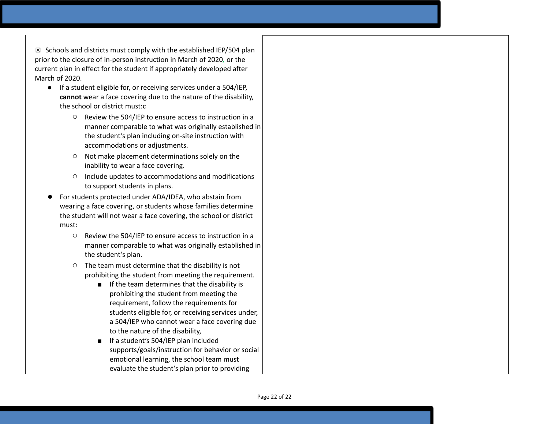$\boxtimes$  Schools and districts must comply with the established IEP/504 plan prior to the closure of in-person instruction in March of 2020, or the current plan in effect for the student if appropriately developed after March of 2020.

- If a student eligible for, or receiving services under a 504/IEP, cannot wear a face covering due to the nature of the disability, the school or district must:c
	- Review the 504/IEP to ensure access to instruction in a manner comparable to what was originally established in the student's plan including on-site instruction with accommodations or adjustments.
	- o Not make placement determinations solely on the inability to wear a face covering.
	- O Include updates to accommodations and modifications to support students in plans.
- For students protected under ADA/IDEA, who abstain from wearing a face covering, or students whose families determine the student will not wear a face covering, the school or district must:
	- $\circ$ Review the 504/IEP to ensure access to instruction in a manner comparable to what was originally established in the student's plan.
	- $\circ$  The team must determine that the disability is not prohibiting the student from meeting the requirement.
		- If the team determines that the disability is prohibiting the student from meeting the requirement, follow the requirements for students eligible for, or receiving services unde r, a 504/IEP who cannot wear a face covering due to the nature of the disability,
		- If a student's 504/IEP plan included supports/goals/instruction for behavior or social emotional learning, the school team must evaluate the student's plan prior to providing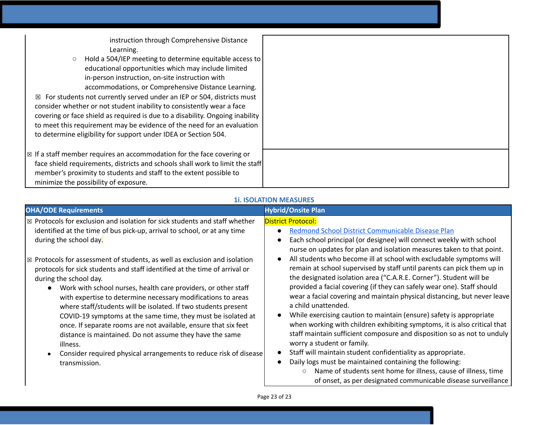instruction through Comprehensive Distance Learning.

○ Hold a 504/IEP meeting to determine equitable access to educational opportunities which may include limited in-person instruction, on-site instruction with accommodations, or Comprehensive Distance Learning.

 $\boxtimes$  For students not currently served under an IEP or 504, districts must consider whether or not student inability to consistently wear a face covering or face shield as required is due to a disability. Ongoing inability to meet this requirement may be evidence of the need for an evaluation to determine eligibility for support under IDEA or Section 504.

☒ If a staff member requires an accommodation for the face covering or face shield requirements, districts and schools shall work to limit the staff member's proximity to students and staff to the extent possible to minimize the possibility of exposure.

| <b>11. ISOLATION MEASURES</b> |
|-------------------------------|
|-------------------------------|

| <b>OHA/ODE Requirements</b>                                                                                                                                                                                                                                                                                                                                                                                                                                                                                                                                                                                                                                                                                                                                                                                                                                                                                                | <b>Hybrid/Onsite Plan</b>                                                                                                                                                                                                                                                                                                                                                                                                                                                                                                                                                                                                                                                                                                                                                                                                                                                                                                                                                                                                                                                                                                                                       |
|----------------------------------------------------------------------------------------------------------------------------------------------------------------------------------------------------------------------------------------------------------------------------------------------------------------------------------------------------------------------------------------------------------------------------------------------------------------------------------------------------------------------------------------------------------------------------------------------------------------------------------------------------------------------------------------------------------------------------------------------------------------------------------------------------------------------------------------------------------------------------------------------------------------------------|-----------------------------------------------------------------------------------------------------------------------------------------------------------------------------------------------------------------------------------------------------------------------------------------------------------------------------------------------------------------------------------------------------------------------------------------------------------------------------------------------------------------------------------------------------------------------------------------------------------------------------------------------------------------------------------------------------------------------------------------------------------------------------------------------------------------------------------------------------------------------------------------------------------------------------------------------------------------------------------------------------------------------------------------------------------------------------------------------------------------------------------------------------------------|
| $\boxtimes$ Protocols for exclusion and isolation for sick students and staff whether<br>identified at the time of bus pick-up, arrival to school, or at any time<br>during the school day.<br>$\boxtimes$ Protocols for assessment of students, as well as exclusion and isolation<br>protocols for sick students and staff identified at the time of arrival or<br>during the school day.<br>Work with school nurses, health care providers, or other staff<br>$\bullet$<br>with expertise to determine necessary modifications to areas<br>where staff/students will be isolated. If two students present<br>COVID-19 symptoms at the same time, they must be isolated at<br>once. If separate rooms are not available, ensure that six feet<br>distance is maintained. Do not assume they have the same<br>illness.<br>Consider required physical arrangements to reduce risk of disease<br>$\bullet$<br>transmission. | District Protocol:<br>Redmond School District Communicable Disease Plan<br>Each school principal (or designee) will connect weekly with school<br>nurse on updates for plan and isolation measures taken to that point.<br>All students who become ill at school with excludable symptoms will<br>remain at school supervised by staff until parents can pick them up in<br>the designated isolation area ("C.A.R.E. Corner"). Student will be<br>provided a facial covering (if they can safely wear one). Staff should<br>wear a facial covering and maintain physical distancing, but never leave<br>a child unattended.<br>While exercising caution to maintain (ensure) safety is appropriate<br>when working with children exhibiting symptoms, it is also critical that<br>staff maintain sufficient composure and disposition so as not to unduly<br>worry a student or family.<br>Staff will maintain student confidentiality as appropriate.<br>Daily logs must be maintained containing the following:<br>Name of students sent home for illness, cause of illness, time<br>$\circ$<br>of onset, as per designated communicable disease surveillance |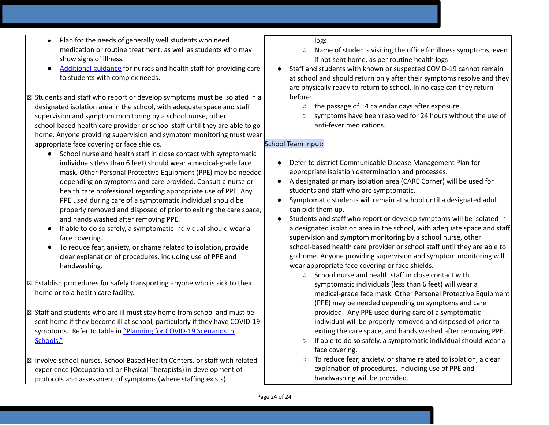- Plan for the needs of generally well students who need medication or routine treatment, as well as students who may show signs of illness.
- [Additional](https://www.oregon.gov/ode/students-and-family/healthsafety/Documents/Additional%20Considerations%20for%20Staff%20Working%20with%20Students%20with%20Complex%20Needs.pdf) guidance for nurses and health staff for providing care to students with complex needs.
- ☒ Students and staff who report or develop symptoms must be isolated in a designated isolation area in the school, with adequate space and staff supervision and symptom monitoring by a school nurse, other school-based health care provider or school staff until they are able to go home. Anyone providing supervision and symptom monitoring must wear appropriate face covering or face shields.
	- School nurse and health staff in close contact with symptomatic individuals (less than 6 feet) should wear a medical-grade face mask. Other Personal Protective Equipment (PPE) may be needed depending on symptoms and care provided. Consult a nurse or health care professional regarding appropriate use of PPE. Any PPE used during care of a symptomatic individual should be properly removed and disposed of prior to exiting the care space, and hands washed after removing PPE.
	- If able to do so safely, a symptomatic individual should wear a face covering.
	- To reduce fear, anxiety, or shame related to isolation, provide clear explanation of procedures, including use of PPE and handwashing.
- $\boxtimes$  Establish procedures for safely transporting anyone who is sick to their home or to a health care facility.
- ☒ Staff and students who are ill must stay home from school and must be sent home if they become ill at school, particularly if they have COVID-19 symptoms. Refer to table in ["](https://www.oregon.gov/ode/students-and-family/healthsafety/Documents/Planning%20and%20Responding%20to%20COVID-19%20Scenarios%20in%20Schools%20August%202020.pdf)Planning for [COVID-19](https://www.oregon.gov/ode/students-and-family/healthsafety/Documents/Planning%20and%20Responding%20to%20COVID-19%20Scenarios%20in%20Schools%20August%202020.pdf) Scenarios in [Schools."](https://www.oregon.gov/ode/students-and-family/healthsafety/Documents/Planning%20and%20Responding%20to%20COVID-19%20Scenarios%20in%20Schools%20August%202020.pdf)
- ☒ Involve school nurses, School Based Health Centers, or staff with related experience (Occupational or Physical Therapists) in development of protocols and assessment of symptoms (where staffing exists).

logs

- Name of students visiting the office for illness symptoms, even if not sent home, as per routine health logs
- Staff and students with known or suspected COVID-19 cannot remain at school and should return only after their symptoms resolve and they are physically ready to return to school. In no case can they return before:
	- the passage of 14 calendar days after exposure
	- symptoms have been resolved for 24 hours without the use of anti-fever medications.

# School Team Input:

- Defer to district Communicable Disease Management Plan for appropriate isolation determination and processes.
- A designated primary isolation area (CARE Corner) will be used for students and staff who are symptomatic.
- Symptomatic students will remain at school until a designated adult can pick them up.
- Students and staff who report or develop symptoms will be isolated in a designated isolation area in the school, with adequate space and staff supervision and symptom monitoring by a school nurse, other school-based health care provider or school staff until they are able to go home. Anyone providing supervision and symptom monitoring will wear appropriate face covering or face shields.
	- School nurse and health staff in close contact with symptomatic individuals (less than 6 feet) will wear a medical-grade face mask. Other Personal Protective Equipment (PPE) may be needed depending on symptoms and care provided. Any PPE used during care of a symptomatic individual will be properly removed and disposed of prior to exiting the care space, and hands washed after removing PPE.
	- If able to do so safely, a symptomatic individual should wear a face covering.
	- To reduce fear, anxiety, or shame related to isolation, a clear explanation of procedures, including use of PPE and handwashing will be provided.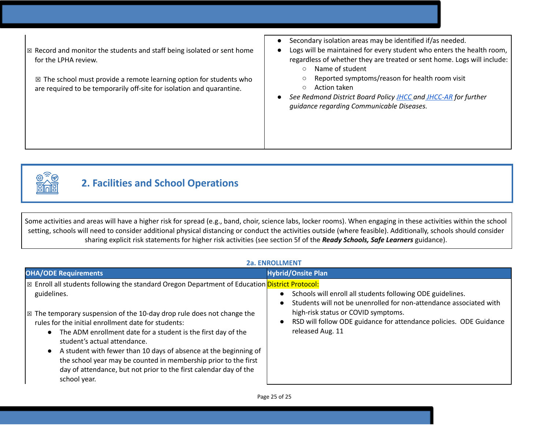☒ Record and monitor the students and staff being isolated or sent home for the LPHA review.

 $\boxtimes$  The school must provide a remote learning option for students who are required to be temporarily off-site for isolation and quarantine.

- Secondary isolation areas may be identified if/as needed.
- Logs will be maintained for every student who enters the health room, regardless of whether they are treated or sent home. Logs will include:
	- Name of student
	- Reported symptoms/reason for health room visit
	- Action taken
- *● See Redmond District Board Policy [JHCC](https://policy.osba.org/redmond/J/JHCC%20G1.PDF) and [JHCC-AR](https://policy.osba.org/redmond/J/JHCC%20R%20G1.PDF) for further guidance regarding Communicable Diseases.*



# **2. Facilities and School Operations**

Some activities and areas will have a higher risk for spread (e.g., band, choir, science labs, locker rooms). When engaging in these activities within the school setting, schools will need to consider additional physical distancing or conduct the activities outside (where feasible). Additionally, schools should consider sharing explicit risk statements for higher risk activities (see section 5f of the *Ready Schools, Safe Learners* guidance).

### **2a. ENROLLMENT**

| <b>OHA/ODE Requirements</b>                                                                                                                                                                                                                                                                                                                                                                                                                                                                                                                                                                            | <b>Hybrid/Onsite Plan</b>                                                                                                                                                                                                                                                                   |
|--------------------------------------------------------------------------------------------------------------------------------------------------------------------------------------------------------------------------------------------------------------------------------------------------------------------------------------------------------------------------------------------------------------------------------------------------------------------------------------------------------------------------------------------------------------------------------------------------------|---------------------------------------------------------------------------------------------------------------------------------------------------------------------------------------------------------------------------------------------------------------------------------------------|
| <b>Example 15</b> Enroll all students following the standard Oregon Department of Education District Protocol:<br>guidelines.<br>$\mathbb{Z}$ The temporary suspension of the 10-day drop rule does not change the<br>rules for the initial enrollment date for students:<br>The ADM enrollment date for a student is the first day of the<br>student's actual attendance.<br>A student with fewer than 10 days of absence at the beginning of<br>the school year may be counted in membership prior to the first<br>day of attendance, but not prior to the first calendar day of the<br>school year. | Schools will enroll all students following ODE guidelines.<br>$\bullet$<br>Students will not be unenrolled for non-attendance associated with<br>$\bullet$<br>high-risk status or COVID symptoms.<br>RSD will follow ODE guidance for attendance policies. ODE Guidance<br>released Aug. 11 |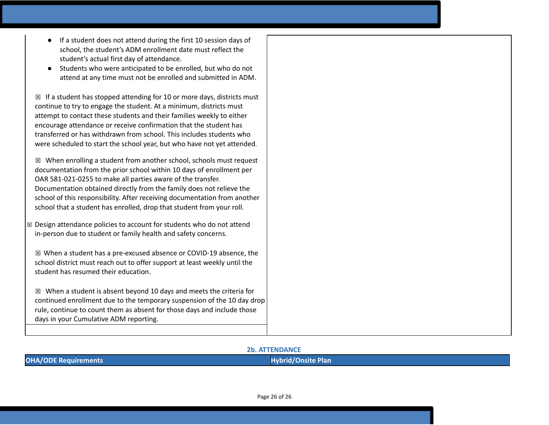- If a student does not attend during the first 10 session days of school, the student's ADM enrollment date must reflect the student's actual first day of attendance.
- Students who were anticipated to be enrolled, but who do not attend at any time must not be enrolled and submitted in ADM.

 $\boxtimes$  If a student has stopped attending for 10 or more days, districts must continue to try to engage the student. At a minimum, districts must attempt to contact these students and their families weekly to either encourage attendance or receive confirmation that the student has transferred or has withdrawn from school. This includes students who were scheduled to start the school year, but who have not yet attended.

 $\boxtimes$  When enrolling a student from another school, schools must request documentation from the prior school within 10 days of enrollment per OAR 581-021-0255 to make all parties aware of the transfer. Documentation obtained directly from the family does not relieve the school of this responsibility. After receiving documentation from another school that a student has enrolled, drop that student from your roll.

☒ Design attendance policies to account for students who do not attend in-person due to student or family health and safety concerns.

☒ When a student has a pre-excused absence or COVID-19 absence, the school district must reach out to offer support at least weekly until the student has resumed their education.

 $\boxtimes$  When a student is absent beyond 10 days and meets the criteria for continued enrollment due to the temporary suspension of the 10 day drop rule, continue to count them as absent for those days and include those days in your Cumulative ADM reporting.

#### **2b. ATTENDANCE**

| <b>OHA/ODE Requirements</b> | Hyhrid / (<br>)nsite Plan |
|-----------------------------|---------------------------|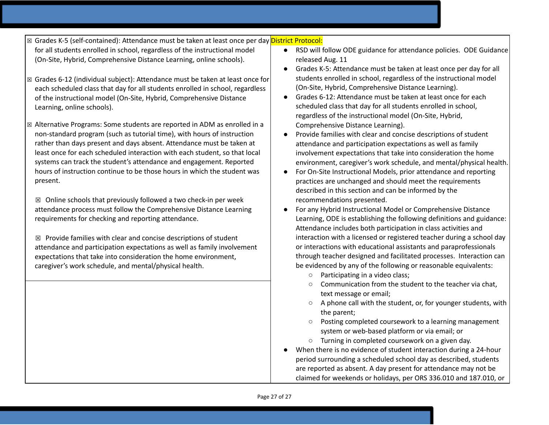- ⊠ Grades K-5 (self-contained): Attendance must be taken at least once per day <mark>District Protocol:</mark>
- for all students enrolled in school, regardless of the instructional model (On-Site, Hybrid, Comprehensive Distance Learning, online schools).
- $\boxtimes$  Grades 6-12 (individual subject): Attendance must be taken at least once for each scheduled class that day for all students enrolled in school, regardless of the instructional model (On-Site, Hybrid, Comprehensive Distance Learning, online schools).
- ☒ Alternative Programs: Some students are reported in ADM as enrolled in a non-standard program (such as tutorial time), with hours of instruction rather than days present and days absent. Attendance must be taken at least once for each scheduled interaction with each student, so that local systems can track the student's attendance and engagement. Reported hours of instruction continue to be those hours in which the student was present.

 $\boxtimes$  Online schools that previously followed a two check-in per week attendance process must follow the Comprehensive Distance Learning requirements for checking and reporting attendance.

 $\boxtimes$  Provide families with clear and concise descriptions of student attendance and participation expectations as well as family involvement expectations that take into consideration the home environment, caregiver's work schedule, and mental/physical health.

- RSD will follow ODE guidance for attendance policies. ODE Guidance released Aug. 11
- Grades K-5: Attendance must be taken at least once per day for all students enrolled in school, regardless of the instructional model (On-Site, Hybrid, Comprehensive Distance Learning).
- Grades 6-12: Attendance must be taken at least once for each scheduled class that day for all students enrolled in school, regardless of the instructional model (On-Site, Hybrid, Comprehensive Distance Learning).
- Provide families with clear and concise descriptions of student attendance and participation expectations as well as family involvement expectations that take into consideration the home environment, caregiver's work schedule, and mental/physical health.
- For On-Site Instructional Models, prior attendance and reporting practices are unchanged and should meet the requirements described in this section and can be informed by the recommendations presented.
- For any Hybrid Instructional Model or Comprehensive Distance Learning, ODE is establishing the following definitions and guidance: Attendance includes both participation in class activities and interaction with a licensed or registered teacher during a school day or interactions with educational assistants and paraprofessionals through teacher designed and facilitated processes. Interaction can be evidenced by any of the following or reasonable equivalents:
	- Participating in a video class;
	- Communication from the student to the teacher via chat, text message or email;
	- A phone call with the student, or, for younger students, with the parent;
	- Posting completed coursework to a learning management system or web-based platform or via email; or
	- Turning in completed coursework on a given day.
- When there is no evidence of student interaction during a 24-hour period surrounding a scheduled school day as described, students are reported as absent. A day present for attendance may not be claimed for weekends or holidays, per ORS 336.010 and 187.010, or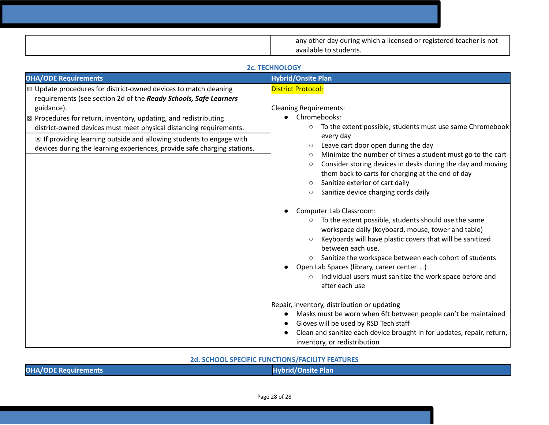| any other day during which a licensed or registered teacher is not<br>available to students. |
|----------------------------------------------------------------------------------------------|

|                                                                                                                                                                                                                                                                                                                                                                                                                                                                                | <b>2c. TECHNOLOGY</b>                                                                                                                                                                                                                                                                                                                                                                                                                                                                                                                                                                                                                                                                                                                                                                                                                                                                                                                                                                   |
|--------------------------------------------------------------------------------------------------------------------------------------------------------------------------------------------------------------------------------------------------------------------------------------------------------------------------------------------------------------------------------------------------------------------------------------------------------------------------------|-----------------------------------------------------------------------------------------------------------------------------------------------------------------------------------------------------------------------------------------------------------------------------------------------------------------------------------------------------------------------------------------------------------------------------------------------------------------------------------------------------------------------------------------------------------------------------------------------------------------------------------------------------------------------------------------------------------------------------------------------------------------------------------------------------------------------------------------------------------------------------------------------------------------------------------------------------------------------------------------|
| <b>OHA/ODE Requirements</b>                                                                                                                                                                                                                                                                                                                                                                                                                                                    | <b>Hybrid/Onsite Plan</b>                                                                                                                                                                                                                                                                                                                                                                                                                                                                                                                                                                                                                                                                                                                                                                                                                                                                                                                                                               |
| $\boxtimes$ Update procedures for district-owned devices to match cleaning<br>requirements (see section 2d of the Ready Schools, Safe Learners<br>guidance).<br>$\boxtimes$ Procedures for return, inventory, updating, and redistributing<br>district-owned devices must meet physical distancing requirements.<br>$\boxtimes$ If providing learning outside and allowing students to engage with<br>devices during the learning experiences, provide safe charging stations. | <b>District Protocol:</b><br><b>Cleaning Requirements:</b><br>• Chromebooks:<br>To the extent possible, students must use same Chromebook<br>$\circ$<br>every day<br>Leave cart door open during the day<br>$\circ$<br>Minimize the number of times a student must go to the cart<br>$\circ$<br>Consider storing devices in desks during the day and moving<br>$\circ$<br>them back to carts for charging at the end of day<br>Sanitize exterior of cart daily<br>$\circ$<br>Sanitize device charging cords daily<br>$\circ$<br>Computer Lab Classroom:<br>To the extent possible, students should use the same<br>$\circ$<br>workspace daily (keyboard, mouse, tower and table)<br>Keyboards will have plastic covers that will be sanitized<br>$\circ$<br>between each use.<br>Sanitize the workspace between each cohort of students<br>$\circ$<br>Open Lab Spaces (library, career center)<br>Individual users must sanitize the work space before and<br>$\circ$<br>after each use |
|                                                                                                                                                                                                                                                                                                                                                                                                                                                                                | Repair, inventory, distribution or updating<br>Masks must be worn when 6ft between people can't be maintained<br>Gloves will be used by RSD Tech staff<br>Clean and sanitize each device brought in for updates, repair, return,<br>inventory, or redistribution                                                                                                                                                                                                                                                                                                                                                                                                                                                                                                                                                                                                                                                                                                                        |

# **2d. SCHOOL SPECIFIC FUNCTIONS/FACILITY FEATURES**

| <b>OHA/ODE Requirements</b> | <b>Hybrid/Onsite Plan</b> |
|-----------------------------|---------------------------|
|                             |                           |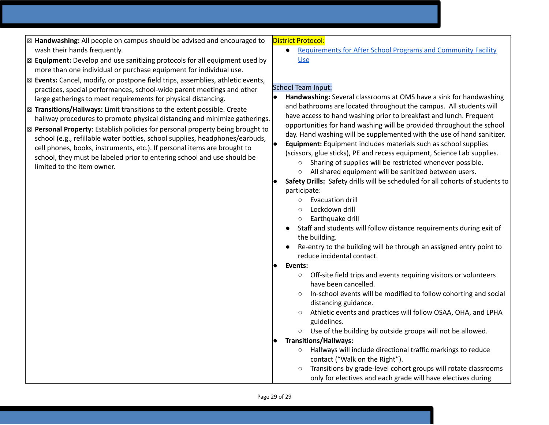- ☒ **Handwashing:** All people on campus should be advised and encouraged to wash their hands frequently.
- ☒ **Equipment:** Develop and use sanitizing protocols for all equipment used by more than one individual or purchase equipment for individual use.
- ☒ **Events:** Cancel, modify, or postpone field trips, assemblies, athletic events, practices, special performances, school-wide parent meetings and other large gatherings to meet requirements for physical distancing.
- ☒ **Transitions/Hallways:** Limit transitions to the extent possible. Create hallway procedures to promote physical distancing and minimize gatherings.
- ☒ **Personal Property**: Establish policies for personal property being brought to school (e.g., refillable water bottles, school supplies, headphones/earbuds, cell phones, books, instruments, etc.). If personal items are brought to school, they must be labeled prior to entering school and use should be limited to the item owner.

### District Protocol:

● [Requirements](http://redmond.k12.or.us/departments/facilities/facility-use-2/) for After School Programs and Community Facility [Use](http://redmond.k12.or.us/departments/facilities/facility-use-2/)

#### School Team Input:

- **Handwashing:** Several classrooms at OMS have a sink for handwashing and bathrooms are located throughout the campus. All students will have access to hand washing prior to breakfast and lunch. Frequent opportunities for hand washing will be provided throughout the school day. Hand washing will be supplemented with the use of hand sanitizer. **Equipment:** Equipment includes materials such as school supplies (scissors, glue sticks), PE and recess equipment, Science Lab supplies.
	- Sharing of supplies will be restricted whenever possible.
	- All shared equipment will be sanitized between users.
- **Safety Drills:** Safety drills will be scheduled for all cohorts of students to participate:
	- Evacuation drill
	- Lockdown drill
	- Earthquake drill
- Staff and students will follow distance requirements during exit of the building.
- Re-entry to the building will be through an assigned entry point to reduce incidental contact.
- Events:
	- Off-site field trips and events requiring visitors or volunteers have been cancelled.
	- In-school events will be modified to follow cohorting and social distancing guidance.
	- Athletic events and practices will follow OSAA, OHA, and LPHA guidelines.
	- Use of the building by outside groups will not be allowed.
- **Transitions/Hallways:**
	- Hallways will include directional traffic markings to reduce contact ("Walk on the Right").
	- Transitions by grade-level cohort groups will rotate classrooms only for electives and each grade will have electives during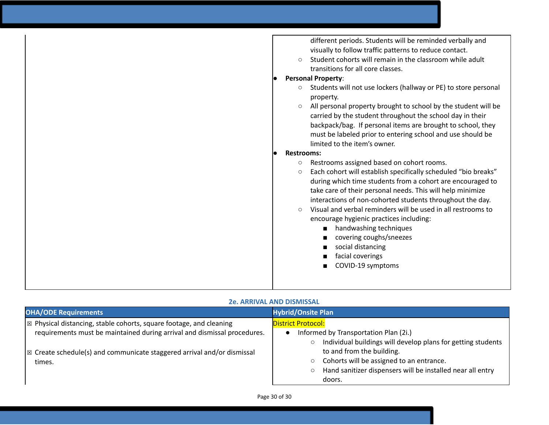| different periods. Students will be reminded verbally and<br>visually to follow traffic patterns to reduce contact.<br>Student cohorts will remain in the classroom while adult<br>$\bigcirc$<br>transitions for all core classes.                                                                                                                                                                                                                                                                                                                                                       |
|------------------------------------------------------------------------------------------------------------------------------------------------------------------------------------------------------------------------------------------------------------------------------------------------------------------------------------------------------------------------------------------------------------------------------------------------------------------------------------------------------------------------------------------------------------------------------------------|
| <b>Personal Property:</b>                                                                                                                                                                                                                                                                                                                                                                                                                                                                                                                                                                |
| Students will not use lockers (hallway or PE) to store personal<br>$\circ$<br>property.                                                                                                                                                                                                                                                                                                                                                                                                                                                                                                  |
| All personal property brought to school by the student will be<br>carried by the student throughout the school day in their<br>backpack/bag. If personal items are brought to school, they<br>must be labeled prior to entering school and use should be<br>limited to the item's owner.                                                                                                                                                                                                                                                                                                 |
| <b>Restrooms:</b>                                                                                                                                                                                                                                                                                                                                                                                                                                                                                                                                                                        |
| Restrooms assigned based on cohort rooms.<br>$\circ$<br>Each cohort will establish specifically scheduled "bio breaks"<br>$\circ$<br>during which time students from a cohort are encouraged to<br>take care of their personal needs. This will help minimize<br>interactions of non-cohorted students throughout the day.<br>Visual and verbal reminders will be used in all restrooms to<br>$\bigcirc$<br>encourage hygienic practices including:<br>handwashing techniques<br>$\blacksquare$<br>covering coughs/sneezes<br>social distancing<br>facial coverings<br>COVID-19 symptoms |
|                                                                                                                                                                                                                                                                                                                                                                                                                                                                                                                                                                                          |

# **2e. ARRIVAL AND DISMISSAL**

| <b>OHA/ODE Requirements</b>                                                        | <b>Hybrid/Onsite Plan</b>                                               |
|------------------------------------------------------------------------------------|-------------------------------------------------------------------------|
| $\mathbb{R}$ Physical distancing, stable cohorts, square footage, and cleaning     | <b>District Protocol:</b>                                               |
| requirements must be maintained during arrival and dismissal procedures.           | Informed by Transportation Plan (2i.)                                   |
|                                                                                    | Individual buildings will develop plans for getting students<br>$\circ$ |
| $\mathbb{R}$ Create schedule(s) and communicate staggered arrival and/or dismissal | to and from the building.                                               |
| times.                                                                             | Cohorts will be assigned to an entrance.<br>O                           |
|                                                                                    | Hand sanitizer dispensers will be installed near all entry<br>$\circ$   |
|                                                                                    | doors.                                                                  |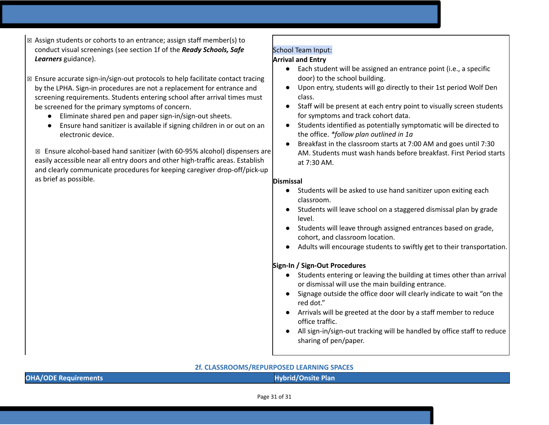- $\boxtimes$  Assign students or cohorts to an entrance; assign staff member(s) to conduct visual screenings (see section 1f of the *Ready Schools, Safe Learners* guidance).
- $\boxtimes$  Ensure accurate sign-in/sign-out protocols to help facilitate contact tracing by the LPHA. Sign-in procedures are not a replacement for entrance and screening requirements. Students entering school after arrival times must be screened for the primary symptoms of concern.
	- Eliminate shared pen and paper sign-in/sign-out sheets.
	- Ensure hand sanitizer is available if signing children in or out on an electronic device.

☒ Ensure alcohol-based hand sanitizer (with 60-95% alcohol) dispensers are easily accessible near all entry doors and other high-traffic areas. Establish and clearly communicate procedures for keeping caregiver drop-off/pick-up as brief as possible.

# School Team Input:

# **Arrival and Entry**

- Each student will be assigned an entrance point (i.e., a specific door) to the school building.
- Upon entry, students will go directly to their 1st period Wolf Den class.
- Staff will be present at each entry point to visually screen students for symptoms and track cohort data.
- Students identified as potentially symptomatic will be directed to the office. *\*follow plan outlined in 1a*
- Breakfast in the classroom starts at 7:00 AM and goes until 7:30 AM. Students must wash hands before breakfast. First Period starts at 7:30 AM.

# **Dismissal**

- Students will be asked to use hand sanitizer upon exiting each classroom.
- Students will leave school on a staggered dismissal plan by grade level.
- Students will leave through assigned entrances based on grade, cohort, and classroom location.
- Adults will encourage students to swiftly get to their transportation.

# **Sign-In / Sign-Out Procedures**

- Students entering or leaving the building at times other than arrival or dismissal will use the main building entrance.
- Signage outside the office door will clearly indicate to wait "on the red dot."
- Arrivals will be greeted at the door by a staff member to reduce office traffic.
- All sign-in/sign-out tracking will be handled by office staff to reduce sharing of pen/paper.

# **2f. CLASSROOMS/REPURPOSED LEARNING SPACES**

| ER CERSSING CITIS/INSTRUMENT COLD ELAINTING STACES. |                           |
|-----------------------------------------------------|---------------------------|
| <b>OHA/ODE Requirements</b>                         | <b>Hybrid/Onsite Plan</b> |
|                                                     |                           |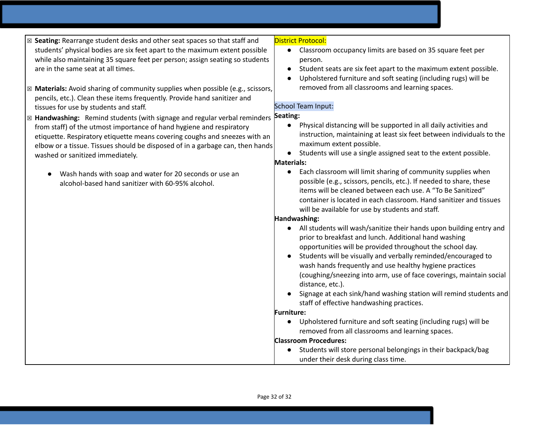- ☒ **Seating:** Rearrange student desks and other seat spaces so that staff and students' physical bodies are six feet apart to the maximum extent possible while also maintaining 35 square feet per person; assign seating so students are in the same seat at all times.
- ☒ **Materials:** Avoid sharing of community supplies when possible (e.g., scissors, pencils, etc.). Clean these items frequently. Provide hand sanitizer and tissues for use by students and staff.
- ⊠ Handwashing: Remind students (with signage and regular verbal reminders **Seating:** from staff) of the utmost importance of hand hygiene and respiratory etiquette. Respiratory etiquette means covering coughs and sneezes with an elbow or a tissue. Tissues should be disposed of in a garbage can, then hands washed or sanitized immediately.
	- Wash hands with soap and water for 20 seconds or use an alcohol-based hand sanitizer with 60-95% alcohol.

### District Protocol:

- Classroom occupancy limits are based on 35 square feet per person.
- Student seats are six feet apart to the maximum extent possible.
- Upholstered furniture and soft seating (including rugs) will be removed from all classrooms and learning spaces.

# School Team Input:

- Physical distancing will be supported in all daily activities and instruction, maintaining at least six feet between individuals to the maximum extent possible.
- Students will use a single assigned seat to the extent possible.

# **Materials:**

● Each classroom will limit sharing of community supplies when possible (e.g., scissors, pencils, etc.). If needed to share, these items will be cleaned between each use. A "To Be Sanitized" container is located in each classroom. Hand sanitizer and tissues will be available for use by students and staff.

# **Handwashing:**

- All students will wash/sanitize their hands upon building entry and prior to breakfast and lunch. Additional hand washing opportunities will be provided throughout the school day.
- Students will be visually and verbally reminded/encouraged to wash hands frequently and use healthy hygiene practices (coughing/sneezing into arm, use of face coverings, maintain social distance, etc.).
- Signage at each sink/hand washing station will remind students and staff of effective handwashing practices.

# **Furniture:**

● Upholstered furniture and soft seating (including rugs) will be removed from all classrooms and learning spaces.

# **Classroom Procedures:**

● Students will store personal belongings in their backpack/bag under their desk during class time.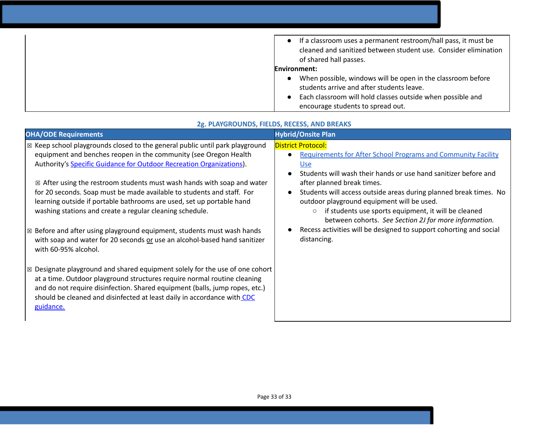| If a classroom uses a permanent restroom/hall pass, it must be                            |
|-------------------------------------------------------------------------------------------|
| cleaned and sanitized between student use. Consider elimination<br>of shared hall passes. |
| Environment:                                                                              |
| When possible, windows will be open in the classroom before                               |
| students arrive and after students leave.                                                 |
| Each classroom will hold classes outside when possible and                                |
| encourage students to spread out.                                                         |

| <b>OHA/ODE Requirements</b>                                                                                                                                                                                                                                                                                                                                                                                                                                                                                                                                                                                                                                                                                                                                                                                                                                                                                                                                                                                                                                                        | <b>Hybrid/Onsite Plan</b>                                                                                                                                                                                                                                                                                                                                                                                                                                                                                                                                                                               |
|------------------------------------------------------------------------------------------------------------------------------------------------------------------------------------------------------------------------------------------------------------------------------------------------------------------------------------------------------------------------------------------------------------------------------------------------------------------------------------------------------------------------------------------------------------------------------------------------------------------------------------------------------------------------------------------------------------------------------------------------------------------------------------------------------------------------------------------------------------------------------------------------------------------------------------------------------------------------------------------------------------------------------------------------------------------------------------|---------------------------------------------------------------------------------------------------------------------------------------------------------------------------------------------------------------------------------------------------------------------------------------------------------------------------------------------------------------------------------------------------------------------------------------------------------------------------------------------------------------------------------------------------------------------------------------------------------|
| $\vert\boxtimes$ Keep school playgrounds closed to the general public until park playground<br>equipment and benches reopen in the community (see Oregon Health<br>Authority's Specific Guidance for Outdoor Recreation Organizations).<br>$\boxtimes$ After using the restroom students must wash hands with soap and water<br>for 20 seconds. Soap must be made available to students and staff. For<br>learning outside if portable bathrooms are used, set up portable hand<br>washing stations and create a regular cleaning schedule.<br>$\boxtimes$ Before and after using playground equipment, students must wash hands<br>with soap and water for 20 seconds or use an alcohol-based hand sanitizer<br>with 60-95% alcohol.<br>$\boxtimes$ Designate playground and shared equipment solely for the use of one cohort<br>at a time. Outdoor playground structures require normal routine cleaning<br>and do not require disinfection. Shared equipment (balls, jump ropes, etc.)<br>should be cleaned and disinfected at least daily in accordance with CDC<br>guidance. | <b>District Protocol:</b><br><b>Requirements for After School Programs and Community Facility</b><br>$\bullet$<br><u>Use</u><br>Students will wash their hands or use hand sanitizer before and<br>$\bullet$<br>after planned break times.<br>Students will access outside areas during planned break times. No<br>$\bullet$<br>outdoor playground equipment will be used.<br>if students use sports equipment, it will be cleaned<br>$\circlearrowright$<br>between cohorts. See Section 2J for more information.<br>Recess activities will be designed to support cohorting and social<br>distancing. |
|                                                                                                                                                                                                                                                                                                                                                                                                                                                                                                                                                                                                                                                                                                                                                                                                                                                                                                                                                                                                                                                                                    |                                                                                                                                                                                                                                                                                                                                                                                                                                                                                                                                                                                                         |

# **2g. PLAYGROUNDS, FIELDS, RECESS, AND BREAKS**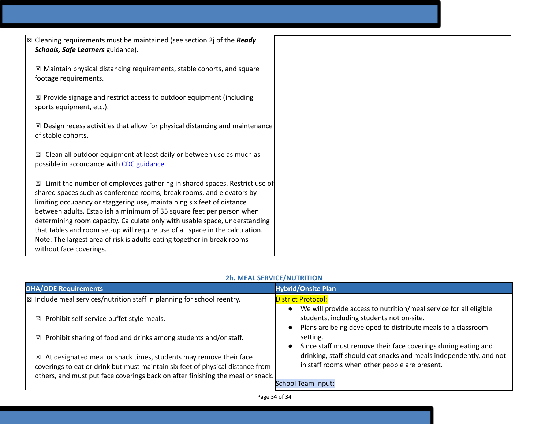| $\boxtimes$ Cleaning requirements must be maintained (see section 2j of the Ready<br>Schools, Safe Learners guidance).                                                                                                                                                                                                                                                                                                                                                                                                                                                          |
|---------------------------------------------------------------------------------------------------------------------------------------------------------------------------------------------------------------------------------------------------------------------------------------------------------------------------------------------------------------------------------------------------------------------------------------------------------------------------------------------------------------------------------------------------------------------------------|
| $\boxtimes$ Maintain physical distancing requirements, stable cohorts, and square<br>footage requirements.                                                                                                                                                                                                                                                                                                                                                                                                                                                                      |
| $\boxtimes$ Provide signage and restrict access to outdoor equipment (including<br>sports equipment, etc.).                                                                                                                                                                                                                                                                                                                                                                                                                                                                     |
| $\boxtimes$ Design recess activities that allow for physical distancing and maintenance<br>of stable cohorts.                                                                                                                                                                                                                                                                                                                                                                                                                                                                   |
| Clean all outdoor equipment at least daily or between use as much as<br>⊠<br>possible in accordance with CDC guidance.                                                                                                                                                                                                                                                                                                                                                                                                                                                          |
| Limit the number of employees gathering in shared spaces. Restrict use of<br>⊠<br>shared spaces such as conference rooms, break rooms, and elevators by<br>limiting occupancy or staggering use, maintaining six feet of distance<br>between adults. Establish a minimum of 35 square feet per person when<br>determining room capacity. Calculate only with usable space, understanding<br>that tables and room set-up will require use of all space in the calculation.<br>Note: The largest area of risk is adults eating together in break rooms<br>without face coverings. |

| <b>OHA/ODE Requirements</b>                                                                                                                                                                                                                | <b>Hybrid/Onsite Plan</b>                                                                                                                                                                                          |
|--------------------------------------------------------------------------------------------------------------------------------------------------------------------------------------------------------------------------------------------|--------------------------------------------------------------------------------------------------------------------------------------------------------------------------------------------------------------------|
| $\vert\boxtimes$ Include meal services/nutrition staff in planning for school reentry.                                                                                                                                                     | <b>District Protocol:</b>                                                                                                                                                                                          |
| $\boxtimes$ Prohibit self-service buffet-style meals.                                                                                                                                                                                      | We will provide access to nutrition/meal service for all eligible<br>students, including students not on-site.<br>Plans are being developed to distribute meals to a classroom                                     |
| Prohibit sharing of food and drinks among students and/or staff.<br>区                                                                                                                                                                      | setting.                                                                                                                                                                                                           |
| At designated meal or snack times, students may remove their face<br>区<br>coverings to eat or drink but must maintain six feet of physical distance from<br>others, and must put face coverings back on after finishing the meal or snack. | Since staff must remove their face coverings during eating and<br>drinking, staff should eat snacks and meals independently, and not<br>in staff rooms when other people are present.<br><b>School Team Input:</b> |

# **2h. MEAL SERVICE/NUTRITION**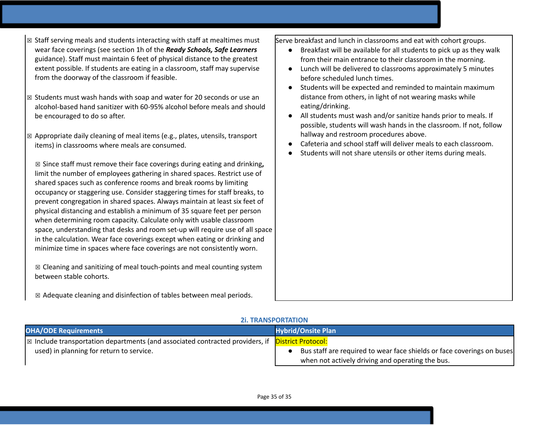- $\boxtimes$  Staff serving meals and students interacting with staff at mealtimes must wear face coverings (see section 1h of the *Ready Schools, Safe Learners* guidance). Staff must maintain 6 feet of physical distance to the greatest extent possible. If students are eating in a classroom, staff may supervise from the doorway of the classroom if feasible.
- ☒ Students must wash hands with soap and water for 20 seconds or use an alcohol-based hand sanitizer with 60-95% alcohol before meals and should be encouraged to do so after.
- $\boxtimes$  Appropriate daily cleaning of meal items (e.g., plates, utensils, transport items) in classrooms where meals are consumed.

☒ Since staff must remove their face coverings during eating and drinking**,** limit the number of employees gathering in shared spaces. Restrict use of shared spaces such as conference rooms and break rooms by limiting occupancy or staggering use. Consider staggering times for staff breaks, to prevent congregation in shared spaces. Always maintain at least six feet of physical distancing and establish a minimum of 35 square feet per person when determining room capacity. Calculate only with usable classroom space, understanding that desks and room set-up will require use of all space in the calculation. Wear face coverings except when eating or drinking and minimize time in spaces where face coverings are not consistently worn.

☒ Cleaning and sanitizing of meal touch-points and meal counting system between stable cohorts.

☒ Adequate cleaning and disinfection of tables between meal periods.

Serve breakfast and lunch in classrooms and eat with cohort groups.

- Breakfast will be available for all students to pick up as they walk from their main entrance to their classroom in the morning.
- Lunch will be delivered to classrooms approximately 5 minutes before scheduled lunch times.
- Students will be expected and reminded to maintain maximum distance from others, in light of not wearing masks while eating/drinking.
- All students must wash and/or sanitize hands prior to meals. If possible, students will wash hands in the classroom. If not, follow hallway and restroom procedures above.
- Cafeteria and school staff will deliver meals to each classroom.
- Students will not share utensils or other items during meals.

# **2i. TRANSPORTATION**

| <b>OHA/ODE Requirements</b>                                                                                        | <b>Hybrid/Onsite Plan</b>                                              |
|--------------------------------------------------------------------------------------------------------------------|------------------------------------------------------------------------|
| $\sqrt{\mathbb{Z}}$ Include transportation departments (and associated contracted providers, if District Protocol: |                                                                        |
| used) in planning for return to service.                                                                           | Bus staff are required to wear face shields or face coverings on buses |
|                                                                                                                    | when not actively driving and operating the bus.                       |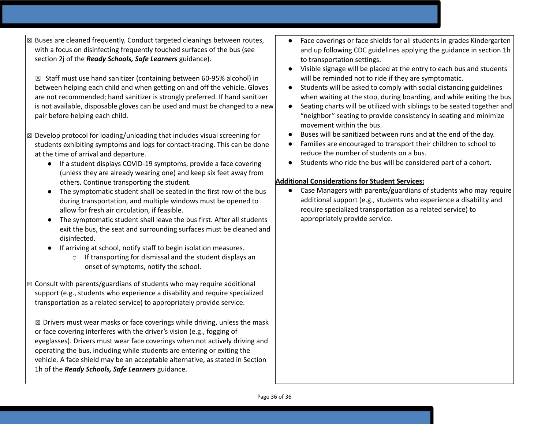☒ Buses are cleaned frequently. Conduct targeted cleanings between routes, with a focus on disinfecting frequently touched surfaces of the bus (see section 2j of the *Ready Schools, Safe Learners* guidance).

☒ Staff must use hand sanitizer (containing between 60-95% alcohol) in between helping each child and when getting on and off the vehicle. Gloves are not recommended; hand sanitizer is strongly preferred. If hand sanitizer is not available, disposable gloves can be used and must be changed to a new pair before helping each child.

- $\boxtimes$  Develop protocol for loading/unloading that includes visual screening for students exhibiting symptoms and logs for contact-tracing. This can be done at the time of arrival and departure.
	- If a student displays COVID-19 symptoms, provide a face covering (unless they are already wearing one) and keep six feet away from others. Continue transporting the student.
	- The symptomatic student shall be seated in the first row of the bus during transportation, and multiple windows must be opened to allow for fresh air circulation, if feasible.
	- The symptomatic student shall leave the bus first. After all students exit the bus, the seat and surrounding surfaces must be cleaned and disinfected.
	- If arriving at school, notify staff to begin isolation measures.
		- o If transporting for dismissal and the student displays an onset of symptoms, notify the school.
- ☒ Consult with parents/guardians of students who may require additional support (e.g., students who experience a disability and require specialized transportation as a related service) to appropriately provide service.

 $\boxtimes$  Drivers must wear masks or face coverings while driving, unless the mask or face covering interferes with the driver's vision (e.g., fogging of eyeglasses). Drivers must wear face coverings when not actively driving and operating the bus, including while students are entering or exiting the vehicle. A face shield may be an acceptable alternative, as stated in Section 1h of the *Ready Schools, Safe Learners* guidance.

- Face coverings or face shields for all students in grades Kindergarten and up following CDC guidelines applying the guidance in section 1h to transportation settings.
- Visible signage will be placed at the entry to each bus and students will be reminded not to ride if they are symptomatic.
- Students will be asked to comply with social distancing guidelines when waiting at the stop, during boarding, and while exiting the bus.
- Seating charts will be utilized with siblings to be seated together and "neighbor" seating to provide consistency in seating and minimize movement within the bus.
- Buses will be sanitized between runs and at the end of the day.
- Families are encouraged to transport their children to school to reduce the number of students on a bus.
- Students who ride the bus will be considered part of a cohort.

# **Additional Considerations for Student Services:**

● Case Managers with parents/guardians of students who may require additional support (e.g., students who experience a disability and require specialized transportation as a related service) to appropriately provide service.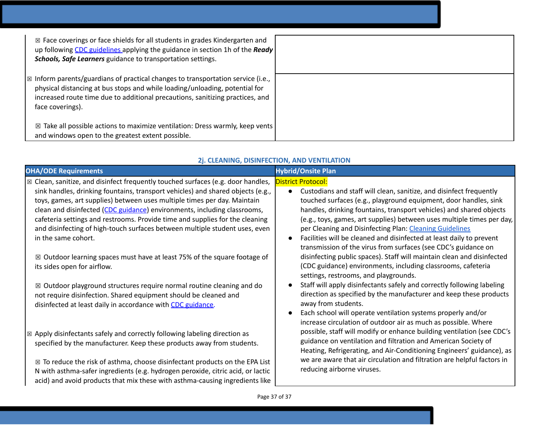| $\boxtimes$ Face coverings or face shields for all students in grades Kindergarten and<br>up following CDC guidelines applying the guidance in section 1h of the Ready<br><b>Schools, Safe Learners</b> guidance to transportation settings.                                    |  |
|---------------------------------------------------------------------------------------------------------------------------------------------------------------------------------------------------------------------------------------------------------------------------------|--|
| $\mathbb{R}$ Inform parents/guardians of practical changes to transportation service (i.e.,<br>physical distancing at bus stops and while loading/unloading, potential for<br>increased route time due to additional precautions, sanitizing practices, and<br>face coverings). |  |
| $\boxtimes$ Take all possible actions to maximize ventilation: Dress warmly, keep vents<br>and windows open to the greatest extent possible.                                                                                                                                    |  |

# **2j. CLEANING, DISINFECTION, AND VENTILATION**

| <b>OHA/ODE Requirements</b>                                                                                                                          | <b>Hybrid/Onsite Plan</b>                                                                                                                    |
|------------------------------------------------------------------------------------------------------------------------------------------------------|----------------------------------------------------------------------------------------------------------------------------------------------|
| $\boxtimes$ Clean, sanitize, and disinfect frequently touched surfaces (e.g. door handles,                                                           | <b>District Protocol:</b>                                                                                                                    |
| sink handles, drinking fountains, transport vehicles) and shared objects (e.g.,                                                                      | Custodians and staff will clean, sanitize, and disinfect frequently<br>$\bullet$                                                             |
| toys, games, art supplies) between uses multiple times per day. Maintain<br>clean and disinfected (CDC guidance) environments, including classrooms, | touched surfaces (e.g., playground equipment, door handles, sink<br>handles, drinking fountains, transport vehicles) and shared objects      |
| cafeteria settings and restrooms. Provide time and supplies for the cleaning                                                                         | (e.g., toys, games, art supplies) between uses multiple times per day,                                                                       |
| and disinfecting of high-touch surfaces between multiple student uses, even                                                                          | per Cleaning and Disinfecting Plan: Cleaning Guidelines                                                                                      |
| in the same cohort.                                                                                                                                  | Facilities will be cleaned and disinfected at least daily to prevent<br>$\bullet$                                                            |
|                                                                                                                                                      | transmission of the virus from surfaces (see CDC's guidance on                                                                               |
| $\boxtimes$ Outdoor learning spaces must have at least 75% of the square footage of                                                                  | disinfecting public spaces). Staff will maintain clean and disinfected                                                                       |
| its sides open for airflow.                                                                                                                          | (CDC guidance) environments, including classrooms, cafeteria                                                                                 |
|                                                                                                                                                      | settings, restrooms, and playgrounds.                                                                                                        |
| $\boxtimes$ Outdoor playground structures require normal routine cleaning and do                                                                     | Staff will apply disinfectants safely and correctly following labeling<br>direction as specified by the manufacturer and keep these products |
| not require disinfection. Shared equipment should be cleaned and<br>disinfected at least daily in accordance with CDC guidance.                      | away from students.                                                                                                                          |
|                                                                                                                                                      | Each school will operate ventilation systems properly and/or<br>$\bullet$                                                                    |
|                                                                                                                                                      | increase circulation of outdoor air as much as possible. Where                                                                               |
| $\infty$ Apply disinfectants safely and correctly following labeling direction as                                                                    | possible, staff will modify or enhance building ventilation (see CDC's                                                                       |
| specified by the manufacturer. Keep these products away from students.                                                                               | guidance on ventilation and filtration and American Society of                                                                               |
|                                                                                                                                                      | Heating, Refrigerating, and Air-Conditioning Engineers' guidance), as                                                                        |
| $\boxtimes$ To reduce the risk of asthma, choose disinfectant products on the EPA List                                                               | we are aware that air circulation and filtration are helpful factors in                                                                      |
| N with asthma-safer ingredients (e.g. hydrogen peroxide, citric acid, or lactic                                                                      | reducing airborne viruses.                                                                                                                   |
| acid) and avoid products that mix these with asthma-causing ingredients like                                                                         |                                                                                                                                              |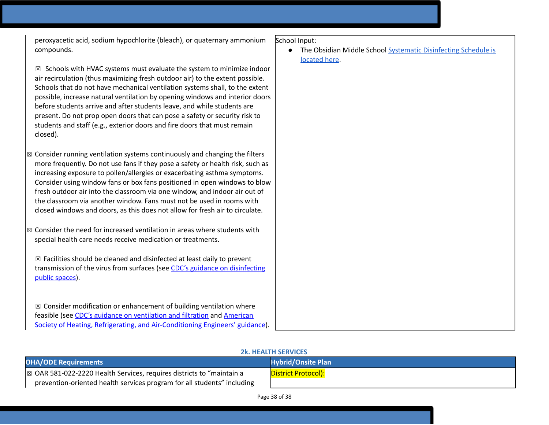peroxyacetic acid, sodium hypochlorite (bleach), or quaternary ammonium compounds.

 $\boxtimes$  Schools with HVAC systems must evaluate the system to minimize indoor air recirculation (thus maximizing fresh outdoor air) to the extent possible. Schools that do not have mechanical ventilation systems shall, to the extent possible, increase natural ventilation by opening windows and interior doors before students arrive and after students leave, and while students are present. Do not prop open doors that can pose a safety or security risk to students and staff (e.g., exterior doors and fire doors that must remain closed).

- $\boxtimes$  Consider running ventilation systems continuously and changing the filters more frequently. Do not use fans if they pose a safety or health risk, such as increasing exposure to pollen/allergies or exacerbating asthma symptoms. Consider using window fans or box fans positioned in open windows to blow fresh outdoor air into the classroom via one window, and indoor air out of the classroom via another window. Fans must not be used in rooms with closed windows and doors, as this does not allow for fresh air to circulate.
- $\boxtimes$  Consider the need for increased ventilation in areas where students with special health care needs receive medication or treatments.

 $\boxtimes$  Facilities should be cleaned and disinfected at least daily to prevent transmission of the virus from surfaces (see CDC's guidance on [disinfecting](https://www.cdc.gov/coronavirus/2019-ncov/community/reopen-guidance.html) public [spaces\)](https://www.cdc.gov/coronavirus/2019-ncov/community/reopen-guidance.html).

 $\boxtimes$  Consider modification or enhancement of building ventilation where feasible (see CDC's guidance on [ventilation](https://www.cdc.gov/coronavirus/2019-ncov/community/guidance-business-response.html) and filtration an[d](https://www.ashrae.org/news/ashraejournal/guidance-for-building-operations-during-the-covid-19-pandemic) [American](https://www.ashrae.org/news/ashraejournal/guidance-for-building-operations-during-the-covid-19-pandemic) Society of Heating, Refrigerating, and [Air-Conditioning](https://www.ashrae.org/news/ashraejournal/guidance-for-building-operations-during-the-covid-19-pandemic) Engineers' guidance).

School Input:

● The Obsidian Middle School Systematic [Disinfecting](https://docs.google.com/document/d/1HP0Lvrh1R0Mr0GhTSQ-8CjYdUt2QFzuUbNEeXPTGM7I/edit?usp=sharing) Schedule is [located](https://docs.google.com/document/d/1HP0Lvrh1R0Mr0GhTSQ-8CjYdUt2QFzuUbNEeXPTGM7I/edit?usp=sharing) here.

#### **2k. HEALTH SERVICES**

| <b>OHA/ODE Requirements</b>                                             | <b>Hybrid/Onsite Plan</b> |
|-------------------------------------------------------------------------|---------------------------|
| ⊠ OAR 581-022-2220 Health Services, requires districts to "maintain a   | District Protocol):       |
| prevention-oriented health services program for all students" including |                           |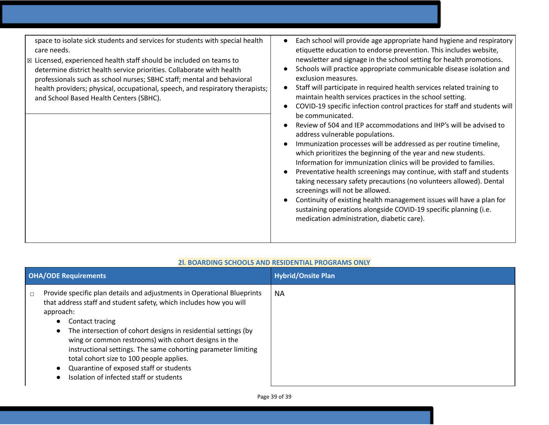|        | <b>OHA/ODE Requirements</b>                                                                                                                                                                                                                                                                                                                                                                                                                                                                                | <b>Hybrid/Onsite Plan</b> |
|--------|------------------------------------------------------------------------------------------------------------------------------------------------------------------------------------------------------------------------------------------------------------------------------------------------------------------------------------------------------------------------------------------------------------------------------------------------------------------------------------------------------------|---------------------------|
| $\Box$ | Provide specific plan details and adjustments in Operational Blueprints<br>that address staff and student safety, which includes how you will<br>approach:<br>Contact tracing<br>The intersection of cohort designs in residential settings (by<br>wing or common restrooms) with cohort designs in the<br>instructional settings. The same cohorting parameter limiting<br>total cohort size to 100 people applies.<br>Quarantine of exposed staff or students<br>Isolation of infected staff or students | <b>NA</b>                 |

# **2l. BOARDING SCHOOLS AND RESIDENTIAL PROGRAMS ONLY**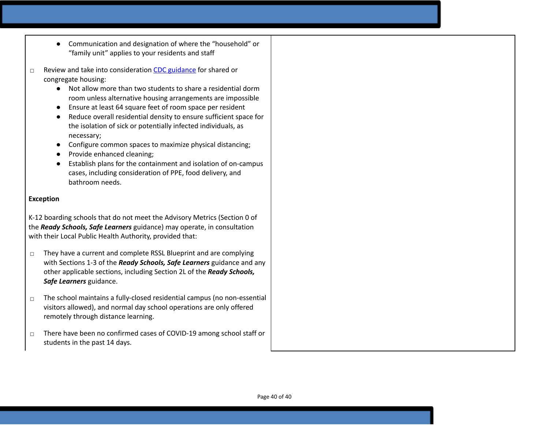- Communication and designation of where the "household" or "family unit" applies to your residents and staff
- ☐ Review and take into consideration CDC [guidance](https://www.cdc.gov/coronavirus/2019-ncov/communication/toolkits/shared-congregate-housing.html) for shared or congregate housing:
	- Not allow more than two students to share a residential dorm room unless alternative housing arrangements are impossible
	- Ensure at least 64 square feet of room space per resident
	- Reduce overall residential density to ensure sufficient space for the isolation of sick or potentially infected individuals, as necessary;
	- Configure common spaces to maximize physical distancing;
	- Provide enhanced cleaning:
	- Establish plans for the containment and isolation of on-campus cases, including consideration of PPE, food delivery, and bathroom needs.

### **Exception**

K-12 boarding schools that do not meet the Advisory Metrics (Section 0 of the *Ready Schools, Safe Learners* guidance) may operate, in consultation with their Local Public Health Authority, provided that:

- □ They have a current and complete RSSL Blueprint and are complying with Sections 1-3 of the *Ready Schools, Safe Learners* guidance and any other applicable sections, including Section 2L of the *Ready Schools, Safe Learners* guidance.
- ☐ The school maintains a fully-closed residential campus (no non-essential visitors allowed), and normal day school operations are only offered remotely through distance learning.
- ☐ There have been no confirmed cases of COVID-19 among school staff or students in the past 14 days.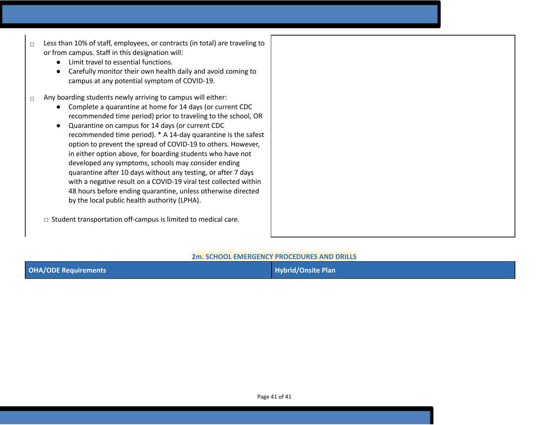- ☐ Less than 10% of staff, employees, or contracts (in total) are traveling to or from campus. Staff in this designation will:
	- Limit travel to essential functions.
	- Carefully monitor their own health daily and avoid coming to campus at any potential symptom of COVID-19.
- $\Box$  Any boarding students newly arriving to campus will either:
	- Complete a quarantine at home for 14 days (or current CDC recommended time period) prior to traveling to the school, OR
	- Quarantine on campus for 14 days (or current CDC recommended time period). \* A 14-day quarantine is the safest option to prevent the spread of COVID-19 to others. However, in either option above, for boarding students who have not developed any symptoms, schools may consider ending quarantine after 10 days without any testing, or after 7 days with a negative result on a COVID-19 viral test collected within 48 hours before ending quarantine, unless otherwise directed by the local public health authority (LPHA).
	- ☐ Student transportation off-campus is limited to medical care.

### **2m. SCHOOL EMERGENCY PROCEDURES AND DRILLS**

| <b>OHA/ODE Requirements</b> | Hybrid/Onsite Plan |
|-----------------------------|--------------------|
|                             |                    |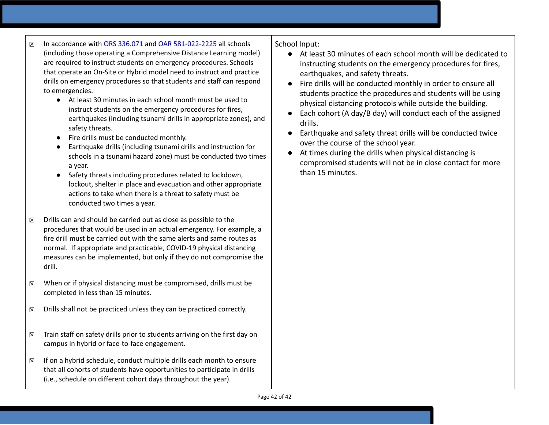- ☒ In accordance with [O](https://www.oregonlegislature.gov/bills_laws/ors/ors336.html)RS [336.071](https://www.oregonlegislature.gov/bills_laws/ors/ors336.html) and OAR [581-022-2225](https://secure.sos.state.or.us/oard/viewSingleRule.action?ruleVrsnRsn=145271) all schools (including those operating a Comprehensive Distance Learning model) are required to instruct students on emergency procedures. Schools that operate an On-Site or Hybrid model need to instruct and practice drills on emergency procedures so that students and staff can respond to emergencies.
	- At least 30 minutes in each school month must be used to instruct students on the emergency procedures for fires, earthquakes (including tsunami drills in appropriate zones), and safety threats.
	- Fire drills must be conducted monthly.
	- Earthquake drills (including tsunami drills and instruction for schools in a tsunami hazard zone) must be conducted two times a year.
	- Safety threats including procedures related to lockdown, lockout, shelter in place and evacuation and other appropriate actions to take when there is a threat to safety must be conducted two times a year.
- $\boxtimes$  Drills can and should be carried out as close as possible to the procedures that would be used in an actual emergency. For example, a fire drill must be carried out with the same alerts and same routes as normal. If appropriate and practicable, COVID-19 physical distancing measures can be implemented, but only if they do not compromise the drill.
- $\boxtimes$  When or if physical distancing must be compromised, drills must be completed in less than 15 minutes.
- $\boxtimes$  Drills shall not be practiced unless they can be practiced correctly.
- $\boxtimes$  Train staff on safety drills prior to students arriving on the first day on campus in hybrid or face-to-face engagement.
- $\boxtimes$  If on a hybrid schedule, conduct multiple drills each month to ensure that all cohorts of students have opportunities to participate in drills (i.e., schedule on different cohort days throughout the year).

School Input:

- At least 30 minutes of each school month will be dedicated to instructing students on the emergency procedures for fires, earthquakes, and safety threats.
- Fire drills will be conducted monthly in order to ensure all students practice the procedures and students will be using physical distancing protocols while outside the building.
- Each cohort (A day/B day) will conduct each of the assigned drills.
- Earthquake and safety threat drills will be conducted twice over the course of the school year.
- At times during the drills when physical distancing is compromised students will not be in close contact for more than 15 minutes.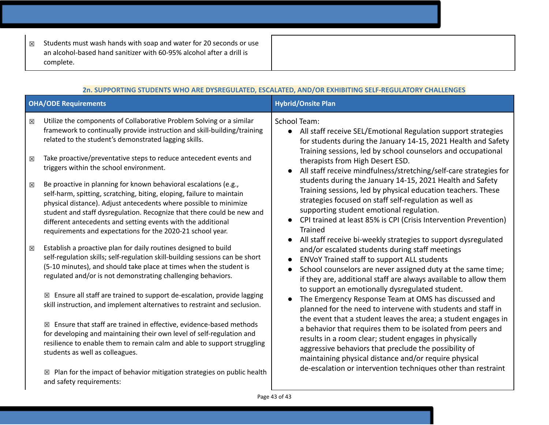☒ Students must wash hands with soap and water for 20 seconds or use an alcohol-based hand sanitizer with 60-95% alcohol after a drill is complete.

| 2n. SUPPORTING STUDENTS WHO ARE DYSREGULATED, ESCALATED, AND/OR EXHIBITING SELF-REGULATORY CHALLENGES |                                                                                                                                                                                                                                                                                                                                                                                                                                                                                                                                                                                                                                                                                                                                                                                                                                                                                                                                                                                                                                                                                                                                                                                                                                                                                                                                                                                                                                                                                                                                                                                                            |                                                                                                                                                                                                                                                                                                                                                                                                                                                                                                                                                                                                                                                                                                                                                                                                                                                                                                                                                                                                                                                                                                                                                                                                                                                                                                                                                                                                                                                                                                                                                                       |
|-------------------------------------------------------------------------------------------------------|------------------------------------------------------------------------------------------------------------------------------------------------------------------------------------------------------------------------------------------------------------------------------------------------------------------------------------------------------------------------------------------------------------------------------------------------------------------------------------------------------------------------------------------------------------------------------------------------------------------------------------------------------------------------------------------------------------------------------------------------------------------------------------------------------------------------------------------------------------------------------------------------------------------------------------------------------------------------------------------------------------------------------------------------------------------------------------------------------------------------------------------------------------------------------------------------------------------------------------------------------------------------------------------------------------------------------------------------------------------------------------------------------------------------------------------------------------------------------------------------------------------------------------------------------------------------------------------------------------|-----------------------------------------------------------------------------------------------------------------------------------------------------------------------------------------------------------------------------------------------------------------------------------------------------------------------------------------------------------------------------------------------------------------------------------------------------------------------------------------------------------------------------------------------------------------------------------------------------------------------------------------------------------------------------------------------------------------------------------------------------------------------------------------------------------------------------------------------------------------------------------------------------------------------------------------------------------------------------------------------------------------------------------------------------------------------------------------------------------------------------------------------------------------------------------------------------------------------------------------------------------------------------------------------------------------------------------------------------------------------------------------------------------------------------------------------------------------------------------------------------------------------------------------------------------------------|
|                                                                                                       | <b>OHA/ODE Requirements</b>                                                                                                                                                                                                                                                                                                                                                                                                                                                                                                                                                                                                                                                                                                                                                                                                                                                                                                                                                                                                                                                                                                                                                                                                                                                                                                                                                                                                                                                                                                                                                                                | <b>Hybrid/Onsite Plan</b>                                                                                                                                                                                                                                                                                                                                                                                                                                                                                                                                                                                                                                                                                                                                                                                                                                                                                                                                                                                                                                                                                                                                                                                                                                                                                                                                                                                                                                                                                                                                             |
| 図<br>⊠<br>図<br>図                                                                                      | Utilize the components of Collaborative Problem Solving or a similar<br>framework to continually provide instruction and skill-building/training<br>related to the student's demonstrated lagging skills.<br>Take proactive/preventative steps to reduce antecedent events and<br>triggers within the school environment.<br>Be proactive in planning for known behavioral escalations (e.g.,<br>self-harm, spitting, scratching, biting, eloping, failure to maintain<br>physical distance). Adjust antecedents where possible to minimize<br>student and staff dysregulation. Recognize that there could be new and<br>different antecedents and setting events with the additional<br>requirements and expectations for the 2020-21 school year.<br>Establish a proactive plan for daily routines designed to build<br>self-regulation skills; self-regulation skill-building sessions can be short<br>(5-10 minutes), and should take place at times when the student is<br>regulated and/or is not demonstrating challenging behaviors.<br>$\boxtimes$ Ensure all staff are trained to support de-escalation, provide lagging<br>skill instruction, and implement alternatives to restraint and seclusion.<br>$\boxtimes$ Ensure that staff are trained in effective, evidence-based methods<br>for developing and maintaining their own level of self-regulation and<br>resilience to enable them to remain calm and able to support struggling<br>students as well as colleagues.<br>$\boxtimes$ Plan for the impact of behavior mitigation strategies on public health<br>and safety requirements: | <b>School Team:</b><br>All staff receive SEL/Emotional Regulation support strategies<br>$\bullet$<br>for students during the January 14-15, 2021 Health and Safety<br>Training sessions, led by school counselors and occupational<br>therapists from High Desert ESD.<br>All staff receive mindfulness/stretching/self-care strategies for<br>students during the January 14-15, 2021 Health and Safety<br>Training sessions, led by physical education teachers. These<br>strategies focused on staff self-regulation as well as<br>supporting student emotional regulation.<br>CPI trained at least 85% is CPI (Crisis Intervention Prevention)<br>$\bullet$<br><b>Trained</b><br>All staff receive bi-weekly strategies to support dysregulated<br>and/or escalated students during staff meetings<br><b>ENVoY Trained staff to support ALL students</b><br>School counselors are never assigned duty at the same time;<br>if they are, additional staff are always available to allow them<br>to support an emotionally dysregulated student.<br>The Emergency Response Team at OMS has discussed and<br>$\bullet$<br>planned for the need to intervene with students and staff in<br>the event that a student leaves the area; a student engages in<br>a behavior that requires them to be isolated from peers and<br>results in a room clear; student engages in physically<br>aggressive behaviors that preclude the possibility of<br>maintaining physical distance and/or require physical<br>de-escalation or intervention techniques other than restraint |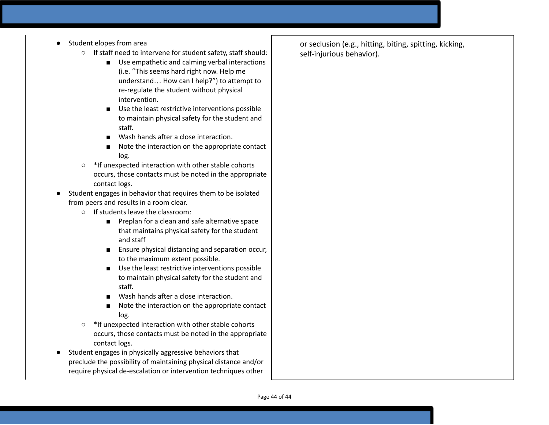- Student elopes from area
	- If staff need to intervene for student safety, staff should:
		- Use empathetic and calming verbal interactions (i.e. "This seems hard right now. Help me understand… How can I help?") to attempt to re-regulate the student without physical intervention.
		- Use the least restrictive interventions possible to maintain physical safety for the student and staff.
		- Wash hands after a close interaction.
		- Note the interaction on the appropriate contact log.
	- \*If unexpected interaction with other stable cohorts occurs, those contacts must be noted in the appropriate contact logs.
- Student engages in behavior that requires them to be isolated from peers and results in a room clear.
	- If students leave the classroom:
		- Preplan for a clean and safe alternative space that maintains physical safety for the student and staff
		- Ensure physical distancing and separation occur, to the maximum extent possible.
		- Use the least restrictive interventions possible to maintain physical safety for the student and staff.
		- Wash hands after a close interaction.
		- Note the interaction on the appropriate contact log.
	- \*If unexpected interaction with other stable cohorts occurs, those contacts must be noted in the appropriate contact logs.
- Student engages in physically aggressive behaviors that preclude the possibility of maintaining physical distance and/or require physical de-escalation or intervention techniques other

or seclusion (e.g., hitting, biting, spitting, kicking, self-injurious behavior).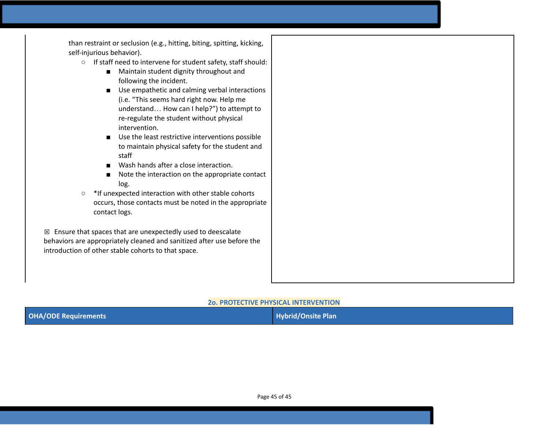than restraint or seclusion (e.g., hitting, biting, spitting, kicking, self-injurious behavior).

- If staff need to intervene for student safety, staff should:
	- Maintain student dignity throughout and following the incident.
	- Use empathetic and calming verbal interactions (i.e. "This seems hard right now. Help me understand… How can I help?") to attempt to re-regulate the student without physical intervention.
	- Use the least restrictive interventions possible to maintain physical safety for the student and staff
	- Wash hands after a close interaction.
	- Note the interaction on the appropriate contact log.
- \*If unexpected interaction with other stable cohorts occurs, those contacts must be noted in the appropriate contact logs.

 $\boxtimes$  Ensure that spaces that are unexpectedly used to deescalate behaviors are appropriately cleaned and sanitized after use before the introduction of other stable cohorts to that space.

### **2o. PROTECTIVE PHYSICAL INTERVENTION**

| <b>OHA/ODE Requirements</b> | <b>Hybrid/Onsite Plan</b> |
|-----------------------------|---------------------------|
|-----------------------------|---------------------------|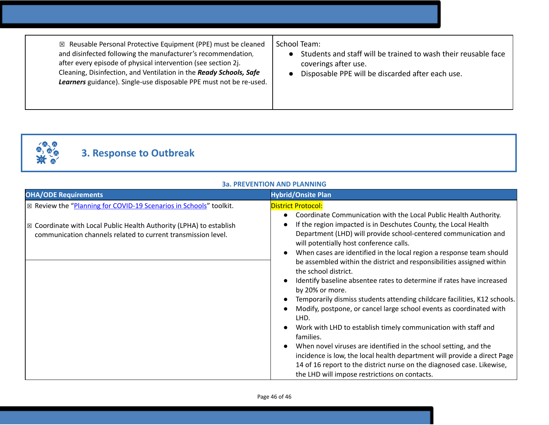☒ Reusable Personal Protective Equipment (PPE) must be cleaned and disinfected following the manufacturer's recommendation*,* after every episode of physical intervention (see section 2j. Cleaning, Disinfection, and Ventilation in the *Ready Schools, Safe Learners* guidance). Single-use disposable PPE must not be re-used. School Team:

- Students and staff will be trained to wash their reusable face coverings after use.
- Disposable PPE will be discarded after each use.



# **3. Response to Outbreak**

| <b>OHA/ODE Requirements</b>                                                                                                                                                                                                      | <b>Hybrid/Onsite Plan</b>                                                                                                                                                                                                                                                                                                                                                                                                                                                                                                                                                                                                                                                                                                                                                                                                                                                                                                                                                                                                                                                 |
|----------------------------------------------------------------------------------------------------------------------------------------------------------------------------------------------------------------------------------|---------------------------------------------------------------------------------------------------------------------------------------------------------------------------------------------------------------------------------------------------------------------------------------------------------------------------------------------------------------------------------------------------------------------------------------------------------------------------------------------------------------------------------------------------------------------------------------------------------------------------------------------------------------------------------------------------------------------------------------------------------------------------------------------------------------------------------------------------------------------------------------------------------------------------------------------------------------------------------------------------------------------------------------------------------------------------|
| $\mathbb{Z}$ Review the "Planning for COVID-19 Scenarios in Schools" toolkit.<br>$\mathbb{Z}$ Coordinate with Local Public Health Authority (LPHA) to establish<br>communication channels related to current transmission level. | <b>District Protocol:</b><br>Coordinate Communication with the Local Public Health Authority.<br>If the region impacted is in Deschutes County, the Local Health<br>Department (LHD) will provide school-centered communication and<br>will potentially host conference calls.<br>When cases are identified in the local region a response team should<br>be assembled within the district and responsibilities assigned within<br>the school district.<br>Identify baseline absentee rates to determine if rates have increased<br>by 20% or more.<br>Temporarily dismiss students attending childcare facilities, K12 schools.<br>Modify, postpone, or cancel large school events as coordinated with<br>LHD.<br>Work with LHD to establish timely communication with staff and<br>families.<br>When novel viruses are identified in the school setting, and the<br>incidence is low, the local health department will provide a direct Page<br>14 of 16 report to the district nurse on the diagnosed case. Likewise,<br>the LHD will impose restrictions on contacts. |

# **3a. PREVENTION AND PLANNING**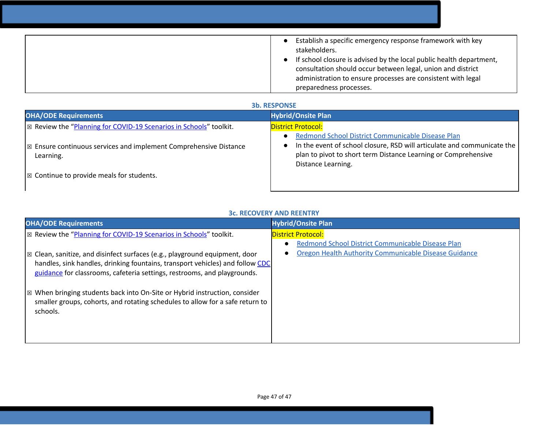| Establish a specific emergency response framework with key<br>stakeholders.<br>If school closure is advised by the local public health department,<br>consultation should occur between legal, union and district<br>administration to ensure processes are consistent with legal<br>preparedness processes. |
|--------------------------------------------------------------------------------------------------------------------------------------------------------------------------------------------------------------------------------------------------------------------------------------------------------------|

# **3b. RESPONSE**

| <b>OHA/ODE Requirements</b>                                                               | <b>Hybrid/Onsite Plan</b>                                                                                                                                                                                            |
|-------------------------------------------------------------------------------------------|----------------------------------------------------------------------------------------------------------------------------------------------------------------------------------------------------------------------|
| $\vert$ $\boxtimes$ Review the "Planning for COVID-19 Scenarios in Schools" toolkit.      | <b>District Protocol:</b>                                                                                                                                                                                            |
| $\mathbb{R}$ Ensure continuous services and implement Comprehensive Distance<br>Learning. | Redmond School District Communicable Disease Plan<br>In the event of school closure, RSD will articulate and communicate the<br>plan to pivot to short term Distance Learning or Comprehensive<br>Distance Learning. |
| $\mathbb{Z}$ Continue to provide meals for students.                                      |                                                                                                                                                                                                                      |

# **3c. RECOVERY AND REENTRY**

| <b>OHA/ODE Requirements</b>                                                                                                                                                                                                                                | <b>Hybrid/Onsite Plan</b>                                                                                               |
|------------------------------------------------------------------------------------------------------------------------------------------------------------------------------------------------------------------------------------------------------------|-------------------------------------------------------------------------------------------------------------------------|
| ⊠ Review the "Planning for COVID-19 Scenarios in Schools" toolkit.                                                                                                                                                                                         | <b>District Protocol:</b>                                                                                               |
| $\vert$ $\boxtimes$ Clean, sanitize, and disinfect surfaces (e.g., playground equipment, door<br>handles, sink handles, drinking fountains, transport vehicles) and follow CDC<br>guidance for classrooms, cafeteria settings, restrooms, and playgrounds. | Redmond School District Communicable Disease Plan<br>$\bullet$<br>Oregon Health Authority Communicable Disease Guidance |
| $\mathbb{Z}$ When bringing students back into On-Site or Hybrid instruction, consider<br>smaller groups, cohorts, and rotating schedules to allow for a safe return to<br>schools.                                                                         |                                                                                                                         |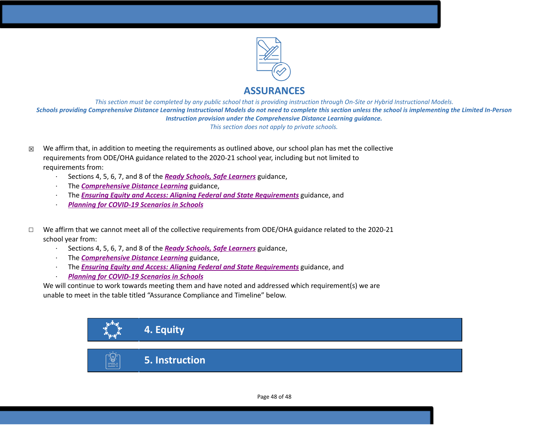

# **ASSURANCES**

This section must be completed by any public school that is providing instruction through On-Site or Hybrid Instructional Models. Schools providing Comprehensive Distance Learning Instructional Models do not need to complete this section unless the school is implementing the Limited In-Person *Instruction provision under the Comprehensive Distance Learning guidance. This section does not apply to private schools.*

- $\boxtimes$  We affirm that, in addition to meeting the requirements as outlined above, our school plan has met the collective requirements from ODE/OHA guidance related to the 2020-21 school year, including but not limited to requirements from:
	- · Sections 4, 5, 6, 7, and 8 of the *[R](https://www.oregon.gov/ode/students-and-family/healthsafety/Documents/Ready%20Schools%20Safe%20Learners%202020-21%20Guidance.pdf)eady Schools, Safe [Learners](https://www.oregon.gov/ode/students-and-family/healthsafety/Documents/Ready%20Schools%20Safe%20Learners%202020-21%20Guidance.pdf)* guidance,
	- · The *[Comprehensive](https://www.oregon.gov/ode/educator-resources/standards/Pages/Comprehensive-Distance-Learning.aspx) Distance Learning* guidance,
	- · The *Ensuring Equity and Access: Aligning Federal and State [Requirements](https://www.oregon.gov/ode/students-and-family/healthsafety/Documents/Ensuring%20Equity%20and%20Access%20Aligning%20State%20and%20Federal%20Requirements.pdf)* guidance, and
	- · *Planning for [COVID-19](https://www.oregon.gov/ode/students-and-family/healthsafety/Documents/Planning%20and%20Responding%20to%20COVID-19%20Scenarios%20in%20Schools%20August%202020.pdf) Scenarios in Schools*
- ☐ We affirm that we cannot meet all of the collective requirements from ODE/OHA guidance related to the 2020-21 school year from:
	- · Sections 4, 5, 6, 7, and 8 of the *[R](https://www.oregon.gov/ode/students-and-family/healthsafety/Documents/Ready%20Schools%20Safe%20Learners%202020-21%20Guidance.pdf)eady Schools, Safe [Learners](https://www.oregon.gov/ode/students-and-family/healthsafety/Documents/Ready%20Schools%20Safe%20Learners%202020-21%20Guidance.pdf)* guidance,
	- · The *[Comprehensive](https://www.oregon.gov/ode/educator-resources/standards/Pages/Comprehensive-Distance-Learning.aspx) Distance Learning* guidance,
	- · The *Ensuring Equity and Access: Aligning Federal and State [Requirements](https://www.oregon.gov/ode/students-and-family/healthsafety/Documents/Ensuring%20Equity%20and%20Access%20Aligning%20State%20and%20Federal%20Requirements.pdf)* guidance, and
	- · *Planning for [COVID-19](https://www.oregon.gov/ode/students-and-family/healthsafety/Documents/Planning%20and%20Responding%20to%20COVID-19%20Scenarios%20in%20Schools%20August%202020.pdf) Scenarios in Schools*

We will continue to work towards meeting them and have noted and addressed which requirement(s) we are unable to meet in the table titled "Assurance Compliance and Timeline" below.